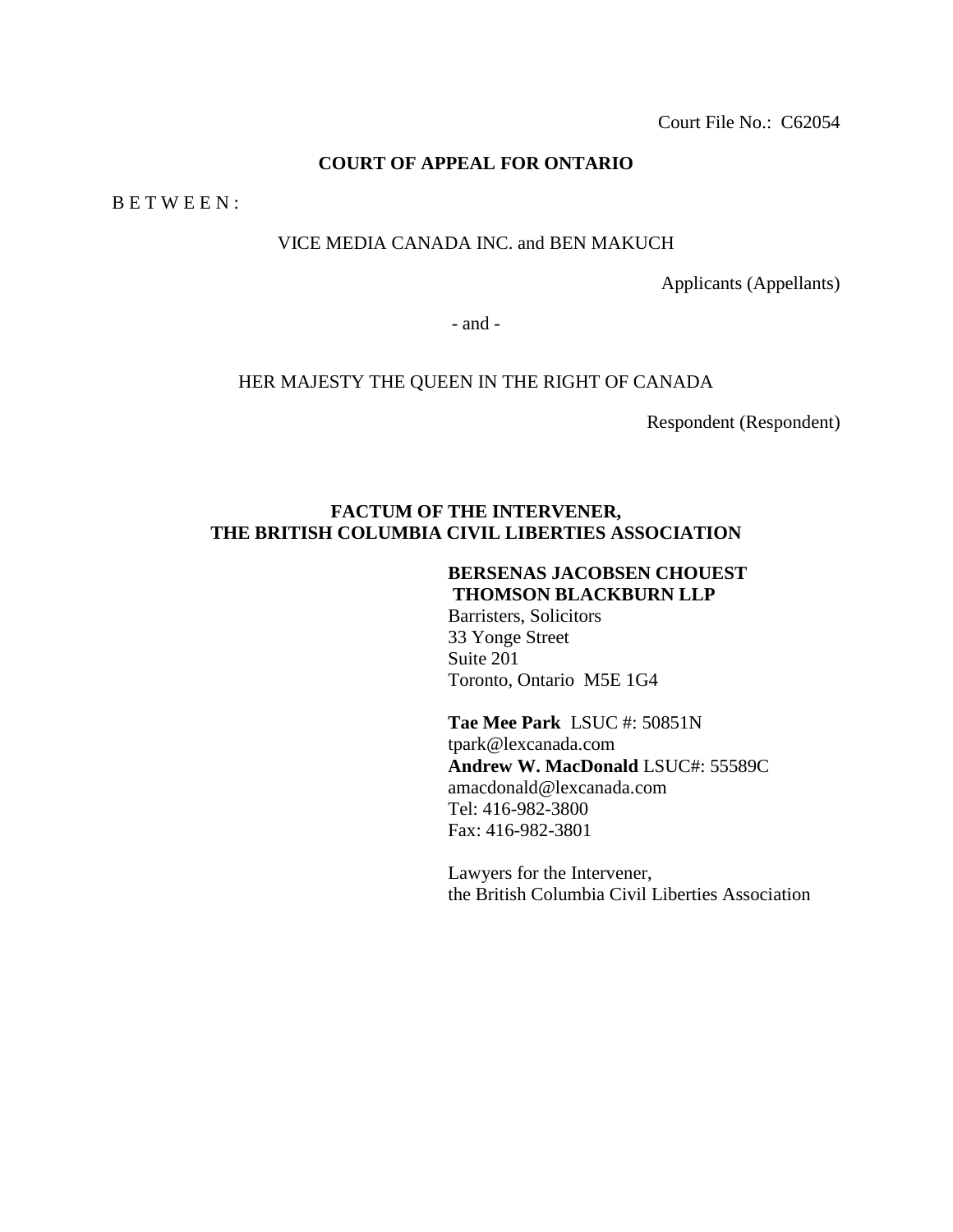Court File No.: C62054

## **COURT OF APPEAL FOR ONTARIO**

B E T W E E N :

## VICE MEDIA CANADA INC. and BEN MAKUCH

Applicants (Appellants)

- and -

#### HER MAJESTY THE QUEEN IN THE RIGHT OF CANADA

Respondent (Respondent)

## **FACTUM OF THE INTERVENER, THE BRITISH COLUMBIA CIVIL LIBERTIES ASSOCIATION**

# **BERSENAS JACOBSEN CHOUEST THOMSON BLACKBURN LLP**

Barristers, Solicitors 33 Yonge Street Suite 201 Toronto, Ontario M5E 1G4

**Tae Mee Park** LSUC #: 50851N tpark@lexcanada.com **Andrew W. MacDonald** LSUC#: 55589C amacdonald@lexcanada.com Tel: 416-982-3800 Fax: 416-982-3801

Lawyers for the Intervener, the British Columbia Civil Liberties Association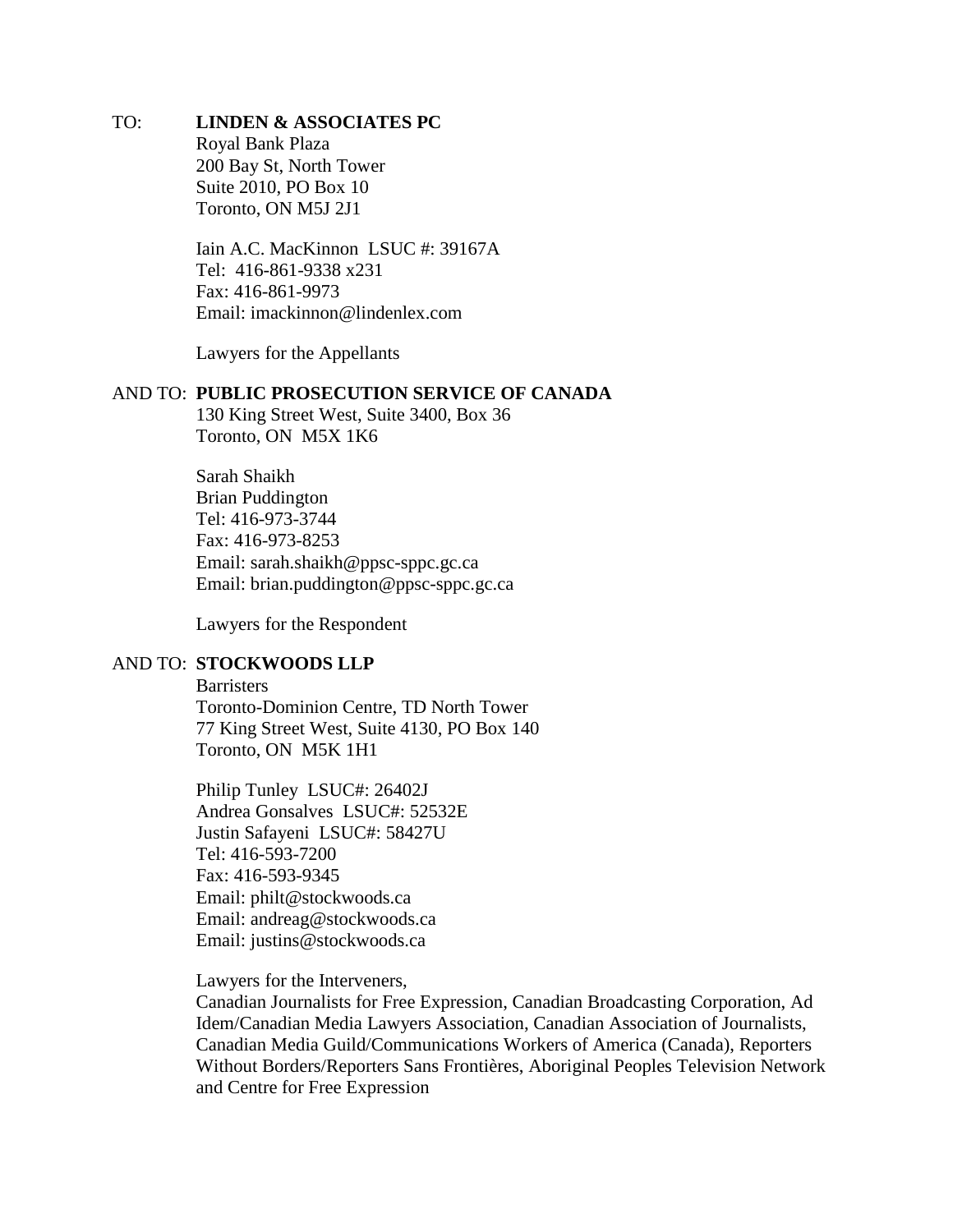## TO: **LINDEN & ASSOCIATES PC**

Royal Bank Plaza 200 Bay St, North Tower Suite 2010, PO Box 10 Toronto, ON M5J 2J1

Iain A.C. MacKinnon LSUC #: 39167A Tel: 416-861-9338 x231 Fax: 416-861-9973 Email: imackinnon@lindenlex.com

Lawyers for the Appellants

#### AND TO: **PUBLIC PROSECUTION SERVICE OF CANADA**

130 King Street West, Suite 3400, Box 36 Toronto, ON M5X 1K6

Sarah Shaikh Brian Puddington Tel: 416-973-3744 Fax: 416-973-8253 Email: sarah.shaikh@ppsc-sppc.gc.ca Email: brian.puddington@ppsc-sppc.gc.ca

Lawyers for the Respondent

## AND TO: **STOCKWOODS LLP**

**Barristers** Toronto-Dominion Centre, TD North Tower 77 King Street West, Suite 4130, PO Box 140 Toronto, ON M5K 1H1

Philip Tunley LSUC#: 26402J Andrea Gonsalves LSUC#: 52532E Justin Safayeni LSUC#: 58427U Tel: 416-593-7200 Fax: 416-593-9345 Email: philt@stockwoods.ca Email: andreag@stockwoods.ca Email: justins@stockwoods.ca

Lawyers for the Interveners,

Canadian Journalists for Free Expression, Canadian Broadcasting Corporation, Ad Idem/Canadian Media Lawyers Association, Canadian Association of Journalists, Canadian Media Guild/Communications Workers of America (Canada), Reporters Without Borders/Reporters Sans Frontières, Aboriginal Peoples Television Network and Centre for Free Expression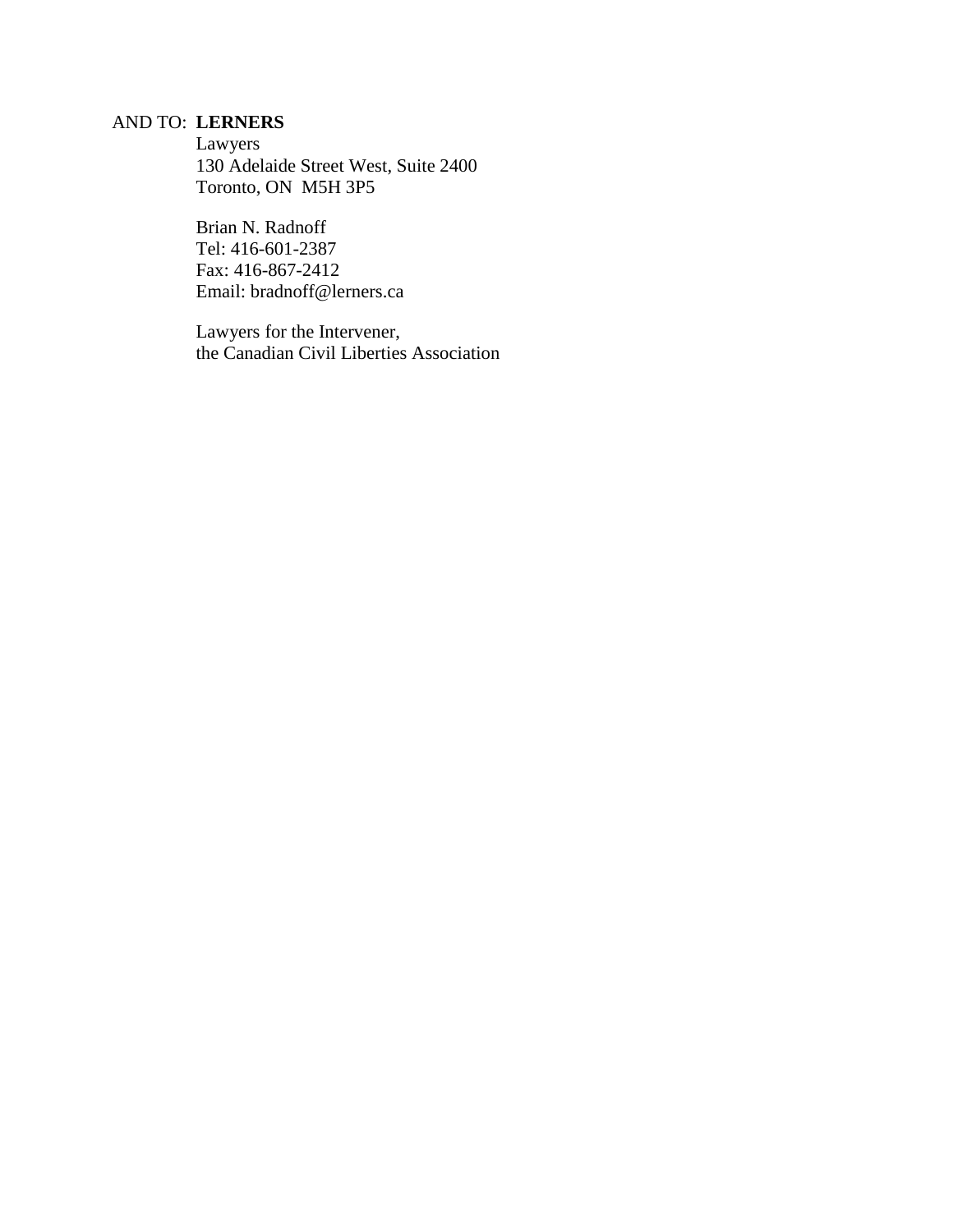## AND TO: **LERNERS**

Lawyers 130 Adelaide Street West, Suite 2400 Toronto, ON M5H 3P5

Brian N. Radnoff Tel: 416-601-2387 Fax: 416-867-2412 Email: bradnoff@lerners.ca

Lawyers for the Intervener, the Canadian Civil Liberties Association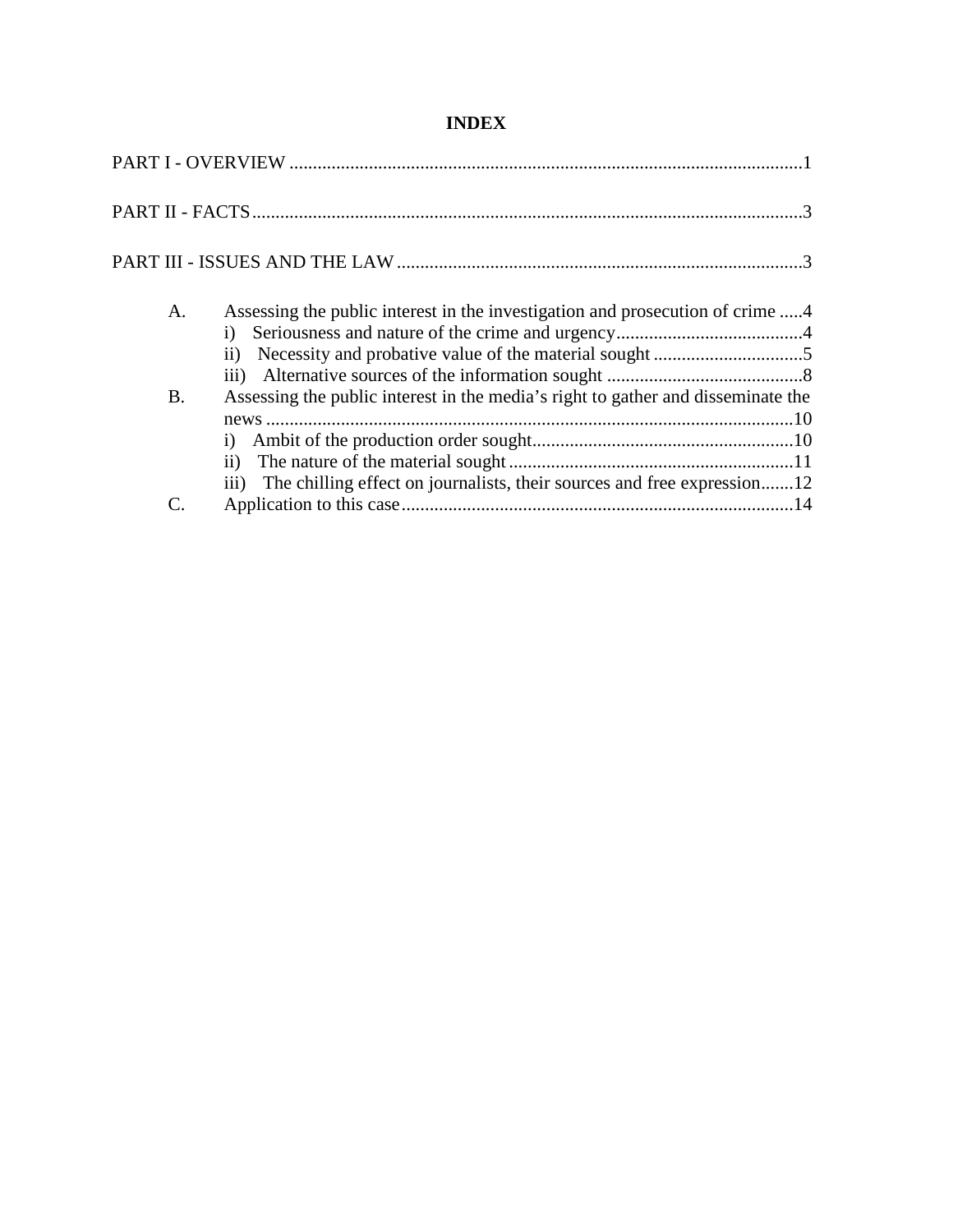# **INDEX**

| A.                          | Assessing the public interest in the investigation and prosecution of crime 4<br>$\mathbf{ii}$                                                                                   |  |
|-----------------------------|----------------------------------------------------------------------------------------------------------------------------------------------------------------------------------|--|
| <b>B.</b>                   | Assessing the public interest in the media's right to gather and disseminate the<br>$\mathbf{i}$<br>iii) The chilling effect on journalists, their sources and free expression12 |  |
| $\mathcal{C}_{\mathcal{C}}$ |                                                                                                                                                                                  |  |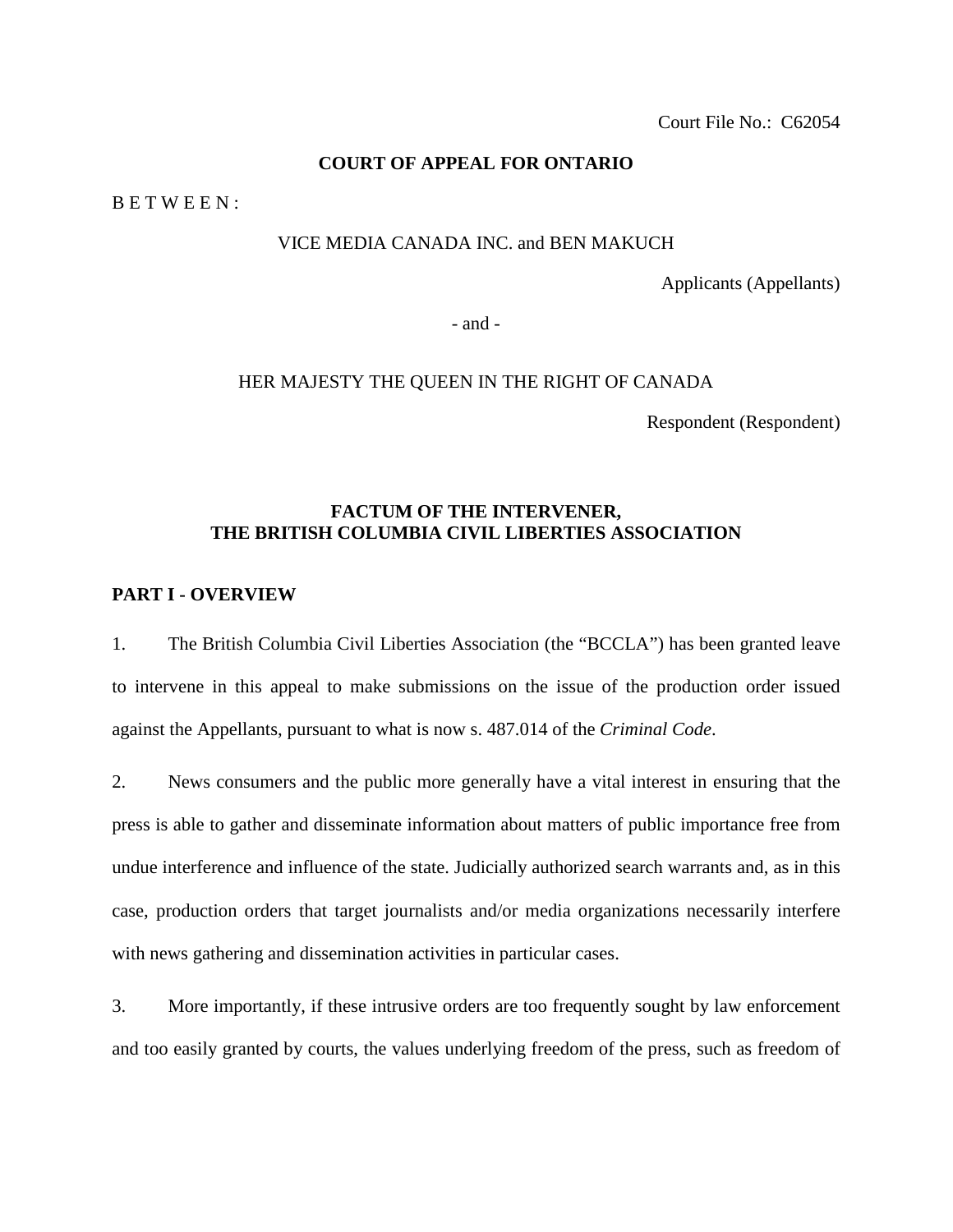## **COURT OF APPEAL FOR ONTARIO**

B E T W E E N :

#### VICE MEDIA CANADA INC. and BEN MAKUCH

Applicants (Appellants)

- and -

#### HER MAJESTY THE QUEEN IN THE RIGHT OF CANADA

Respondent (Respondent)

## **FACTUM OF THE INTERVENER, THE BRITISH COLUMBIA CIVIL LIBERTIES ASSOCIATION**

## <span id="page-4-0"></span>**PART I - OVERVIEW**

1. The British Columbia Civil Liberties Association (the "BCCLA") has been granted leave to intervene in this appeal to make submissions on the issue of the production order issued against the Appellants, pursuant to what is now s. 487.014 of the *Criminal Code*.

2. News consumers and the public more generally have a vital interest in ensuring that the press is able to gather and disseminate information about matters of public importance free from undue interference and influence of the state. Judicially authorized search warrants and, as in this case, production orders that target journalists and/or media organizations necessarily interfere with news gathering and dissemination activities in particular cases.

3. More importantly, if these intrusive orders are too frequently sought by law enforcement and too easily granted by courts, the values underlying freedom of the press, such as freedom of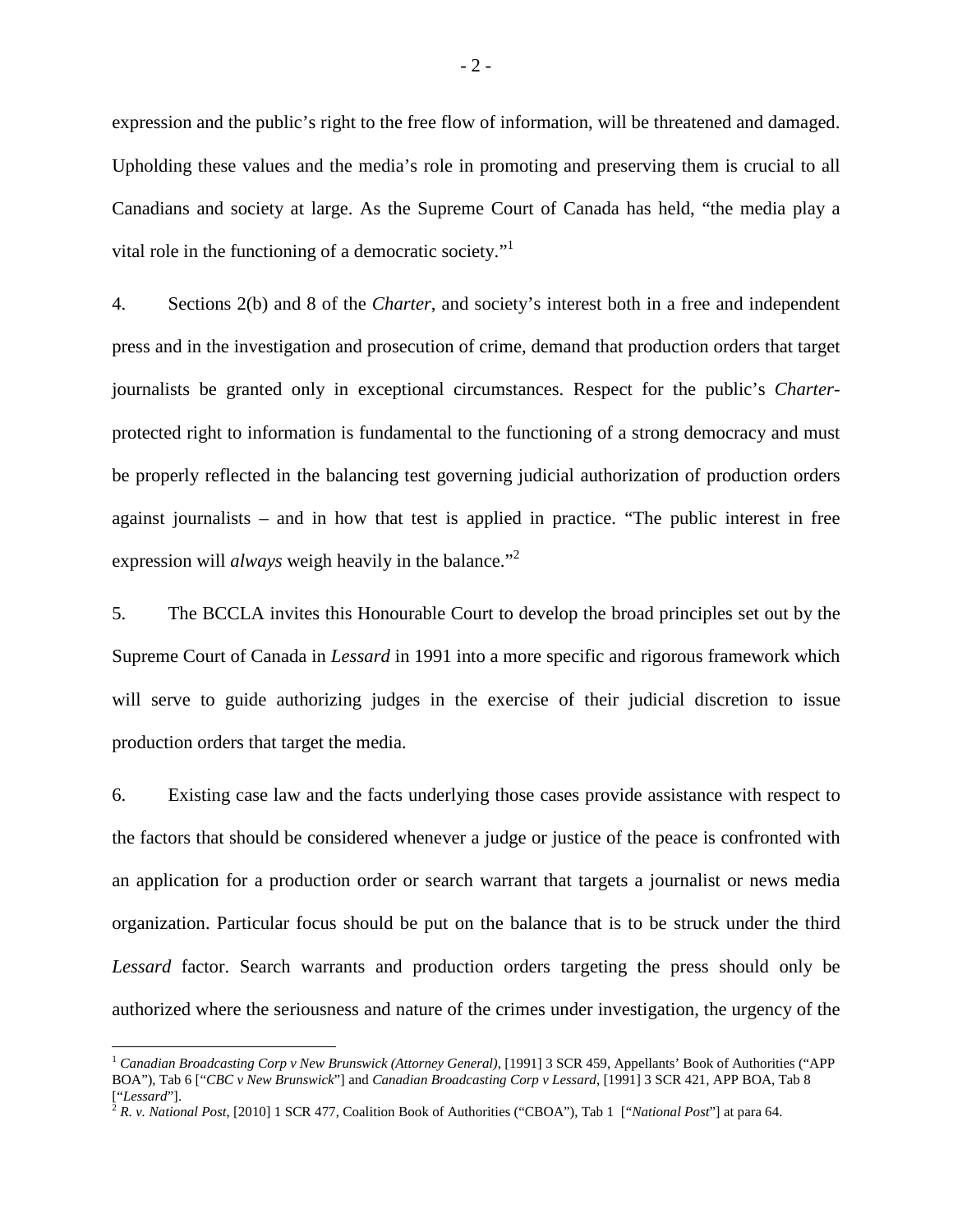expression and the public's right to the free flow of information, will be threatened and damaged. Upholding these values and the media's role in promoting and preserving them is crucial to all Canadians and society at large. As the Supreme Court of Canada has held, "the media play a vital role in the functioning of a democratic society."

4. Sections 2(b) and 8 of the *Charter*, and society's interest both in a free and independent press and in the investigation and prosecution of crime, demand that production orders that target journalists be granted only in exceptional circumstances. Respect for the public's *Charter*protected right to information is fundamental to the functioning of a strong democracy and must be properly reflected in the balancing test governing judicial authorization of production orders against journalists – and in how that test is applied in practice. "The public interest in free expression will *always* weigh heavily in the balance."<sup>[2](#page-5-1)</sup>

5. The BCCLA invites this Honourable Court to develop the broad principles set out by the Supreme Court of Canada in *Lessard* in 1991 into a more specific and rigorous framework which will serve to guide authorizing judges in the exercise of their judicial discretion to issue production orders that target the media.

6. Existing case law and the facts underlying those cases provide assistance with respect to the factors that should be considered whenever a judge or justice of the peace is confronted with an application for a production order or search warrant that targets a journalist or news media organization. Particular focus should be put on the balance that is to be struck under the third *Lessard* factor. Search warrants and production orders targeting the press should only be authorized where the seriousness and nature of the crimes under investigation, the urgency of the

<span id="page-5-0"></span><sup>1</sup> *Canadian Broadcasting Corp v New Brunswick (Attorney General)*, [1991] 3 SCR 459, Appellants' Book of Authorities ("APP BOA"), Tab 6 ["*CBC v New Brunswick*"] and *Canadian Broadcasting Corp v Lessard*, [1991] 3 SCR 421, APP BOA, Tab 8 ["*Lessard*"].

<span id="page-5-1"></span><sup>2</sup> *R. v. National Post*, [2010] 1 SCR 477, Coalition Book of Authorities ("CBOA"), Tab 1 ["*National Post*"] at para 64.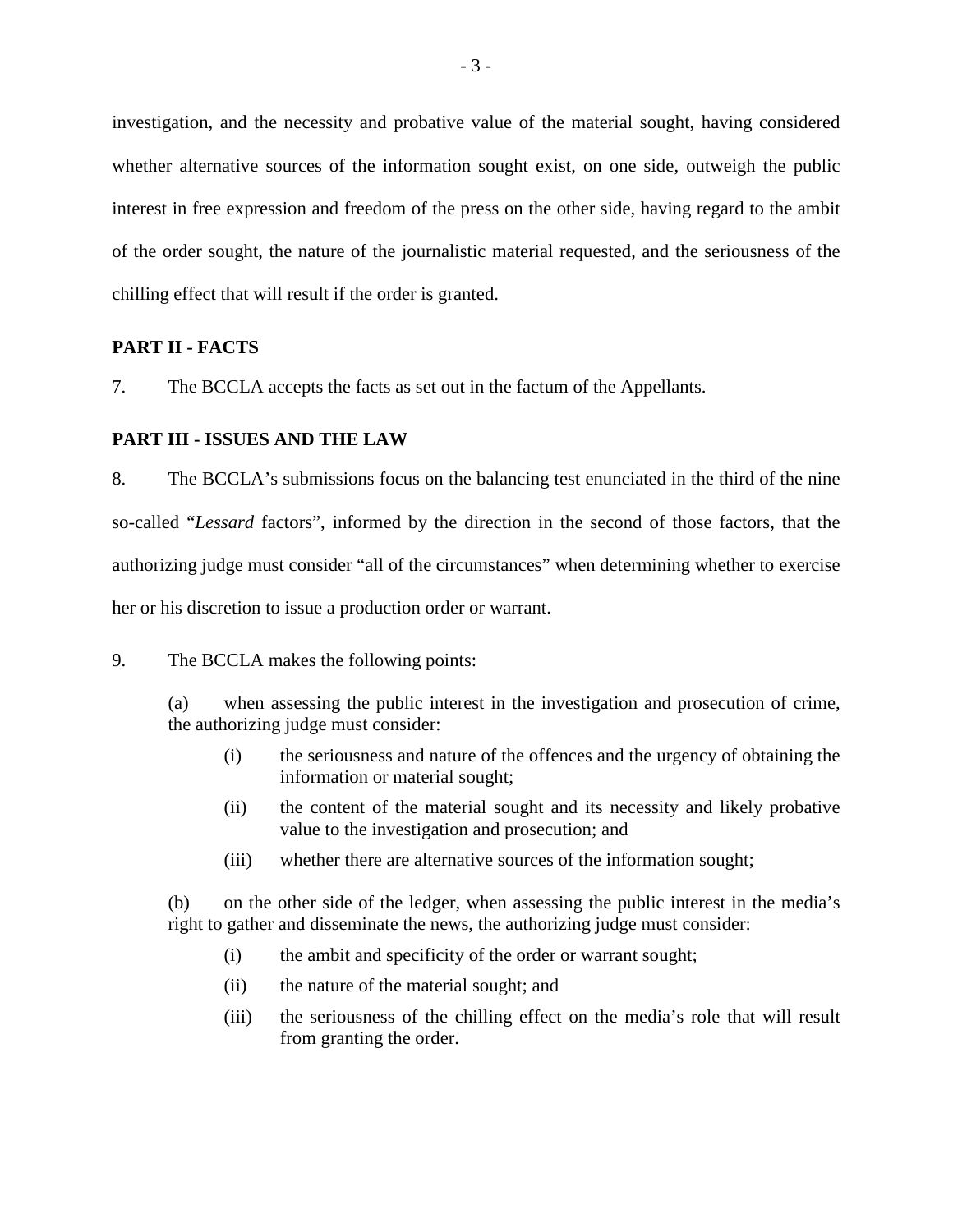investigation, and the necessity and probative value of the material sought, having considered whether alternative sources of the information sought exist, on one side, outweigh the public interest in free expression and freedom of the press on the other side, having regard to the ambit of the order sought, the nature of the journalistic material requested, and the seriousness of the chilling effect that will result if the order is granted.

## <span id="page-6-0"></span>**PART II - FACTS**

7. The BCCLA accepts the facts as set out in the factum of the Appellants.

#### <span id="page-6-1"></span>**PART III - ISSUES AND THE LAW**

8. The BCCLA's submissions focus on the balancing test enunciated in the third of the nine so-called "*Lessard* factors", informed by the direction in the second of those factors, that the authorizing judge must consider "all of the circumstances" when determining whether to exercise her or his discretion to issue a production order or warrant.

9. The BCCLA makes the following points:

(a) when assessing the public interest in the investigation and prosecution of crime, the authorizing judge must consider:

- (i) the seriousness and nature of the offences and the urgency of obtaining the information or material sought;
- (ii) the content of the material sought and its necessity and likely probative value to the investigation and prosecution; and
- (iii) whether there are alternative sources of the information sought;

(b) on the other side of the ledger, when assessing the public interest in the media's right to gather and disseminate the news, the authorizing judge must consider:

- (i) the ambit and specificity of the order or warrant sought;
- (ii) the nature of the material sought; and
- (iii) the seriousness of the chilling effect on the media's role that will result from granting the order.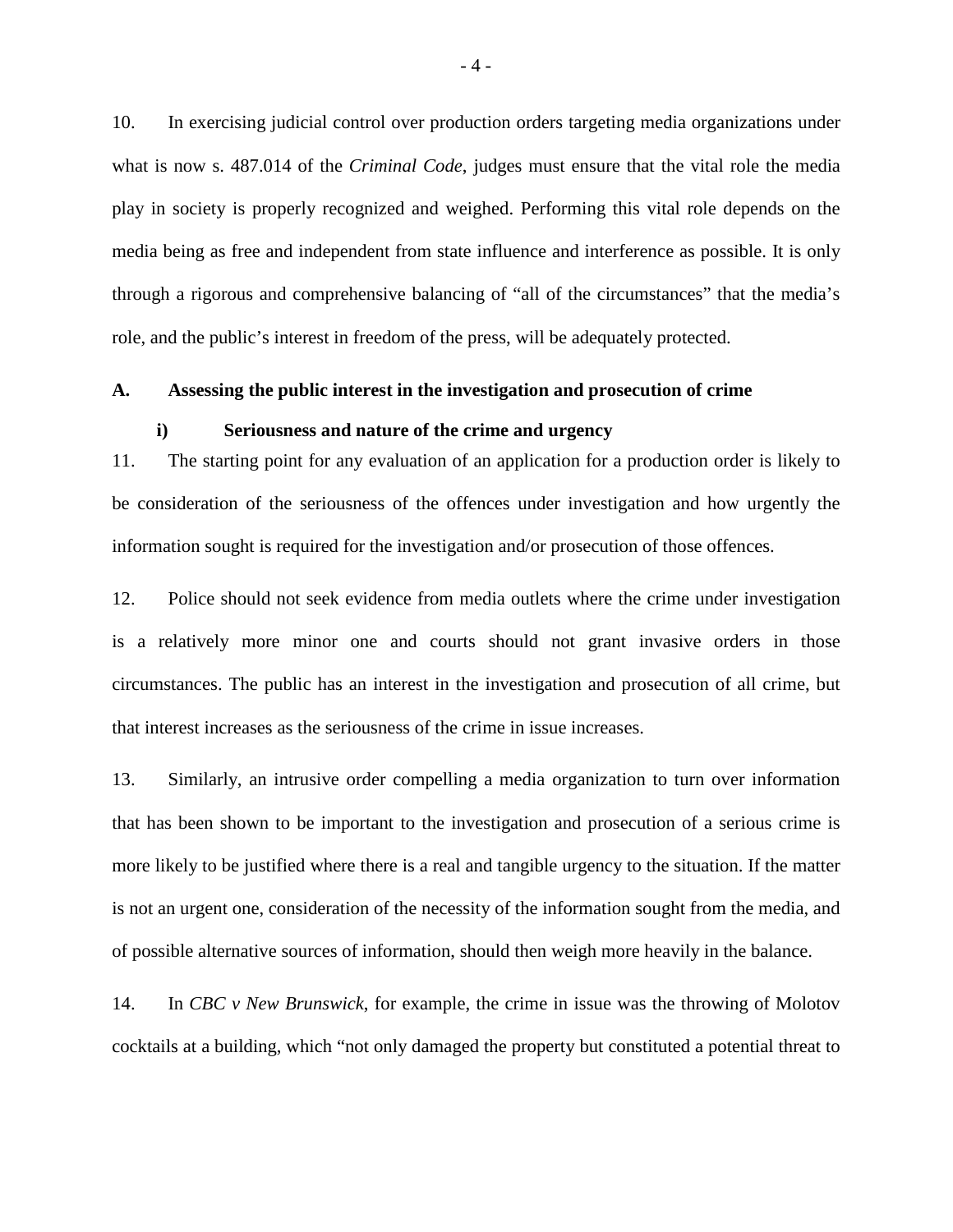10. In exercising judicial control over production orders targeting media organizations under what is now s. 487.014 of the *Criminal Code*, judges must ensure that the vital role the media play in society is properly recognized and weighed. Performing this vital role depends on the media being as free and independent from state influence and interference as possible. It is only through a rigorous and comprehensive balancing of "all of the circumstances" that the media's role, and the public's interest in freedom of the press, will be adequately protected.

#### **A. Assessing the public interest in the investigation and prosecution of crime**

#### <span id="page-7-1"></span><span id="page-7-0"></span>**i) Seriousness and nature of the crime and urgency**

11. The starting point for any evaluation of an application for a production order is likely to be consideration of the seriousness of the offences under investigation and how urgently the information sought is required for the investigation and/or prosecution of those offences.

12. Police should not seek evidence from media outlets where the crime under investigation is a relatively more minor one and courts should not grant invasive orders in those circumstances. The public has an interest in the investigation and prosecution of all crime, but that interest increases as the seriousness of the crime in issue increases.

13. Similarly, an intrusive order compelling a media organization to turn over information that has been shown to be important to the investigation and prosecution of a serious crime is more likely to be justified where there is a real and tangible urgency to the situation. If the matter is not an urgent one, consideration of the necessity of the information sought from the media, and of possible alternative sources of information, should then weigh more heavily in the balance.

14. In *CBC v New Brunswick*, for example, the crime in issue was the throwing of Molotov cocktails at a building, which "not only damaged the property but constituted a potential threat to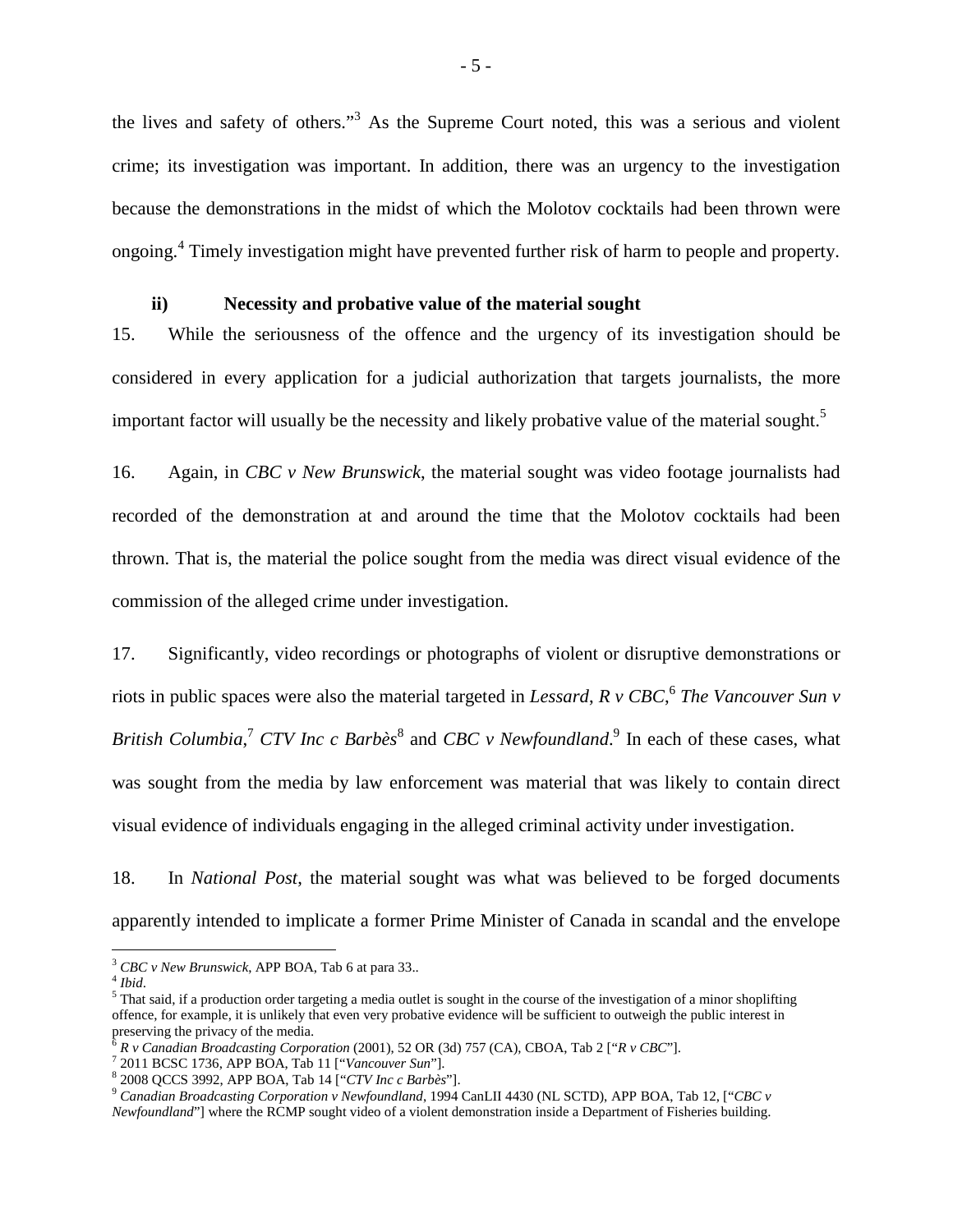thelives and safety of others."<sup>3</sup> As the Supreme Court noted, this was a serious and violent crime; its investigation was important. In addition, there was an urgency to the investigation because the demonstrations in the midst of which the Molotov cocktails had been thrown were ongoing.<sup>4</sup>Timely investigation might have prevented further risk of harm to people and property.

#### <span id="page-8-0"></span>**ii) Necessity and probative value of the material sought**

15. While the seriousness of the offence and the urgency of its investigation should be considered in every application for a judicial authorization that targets journalists, the more important factor will usually be the necessity and likely probative value of the material sought.<sup>[5](#page-8-3)</sup>

16. Again, in *CBC v New Brunswick*, the material sought was video footage journalists had recorded of the demonstration at and around the time that the Molotov cocktails had been thrown. That is, the material the police sought from the media was direct visual evidence of the commission of the alleged crime under investigation.

17. Significantly, video recordings or photographs of violent or disruptive demonstrations or riots in public spaces were also the material targeted in *Lessard*, *R v CBC*, [6](#page-8-4) *The Vancouver Sun v*  British Columbia,<sup>[7](#page-8-5)</sup>CTV Inc c Barbès<sup>8</sup> and CBC v Newfoundland.<sup>[9](#page-8-7)</sup> In each of these cases, what was sought from the media by law enforcement was material that was likely to contain direct visual evidence of individuals engaging in the alleged criminal activity under investigation.

18. In *National Post*, the material sought was what was believed to be forged documents apparently intended to implicate a former Prime Minister of Canada in scandal and the envelope

<span id="page-8-2"></span><span id="page-8-1"></span><sup>3</sup> *CBC v New Brunswick*, APP BOA, Tab 6 at para 33..

<span id="page-8-3"></span><sup>4</sup> *Ibid*.

 $<sup>5</sup>$  That said, if a production order targeting a media outlet is sought in the course of the investigation of a minor shoplifting</sup> offence, for example, it is unlikely that even very probative evidence will be sufficient to outweigh the public interest in preserving the privacy of the media.

<span id="page-8-5"></span><span id="page-8-4"></span><sup>6</sup> *R v Canadian Broadcasting Corporation* (2001), 52 OR (3d) 757 (CA), CBOA, Tab 2 ["*R v CBC*"].

<span id="page-8-6"></span><sup>7</sup> 2011 BCSC 1736, APP BOA, Tab 11 ["*Vancouver Sun*"].

<span id="page-8-7"></span><sup>8</sup> 2008 QCCS 3992, APP BOA, Tab 14 ["*CTV Inc c Barbès*"].

<sup>9</sup> *Canadian Broadcasting Corporation v Newfoundland*, 1994 CanLII 4430 (NL SCTD), APP BOA, Tab 12, ["*CBC v Newfoundland*"] where the RCMP sought video of a violent demonstration inside a Department of Fisheries building.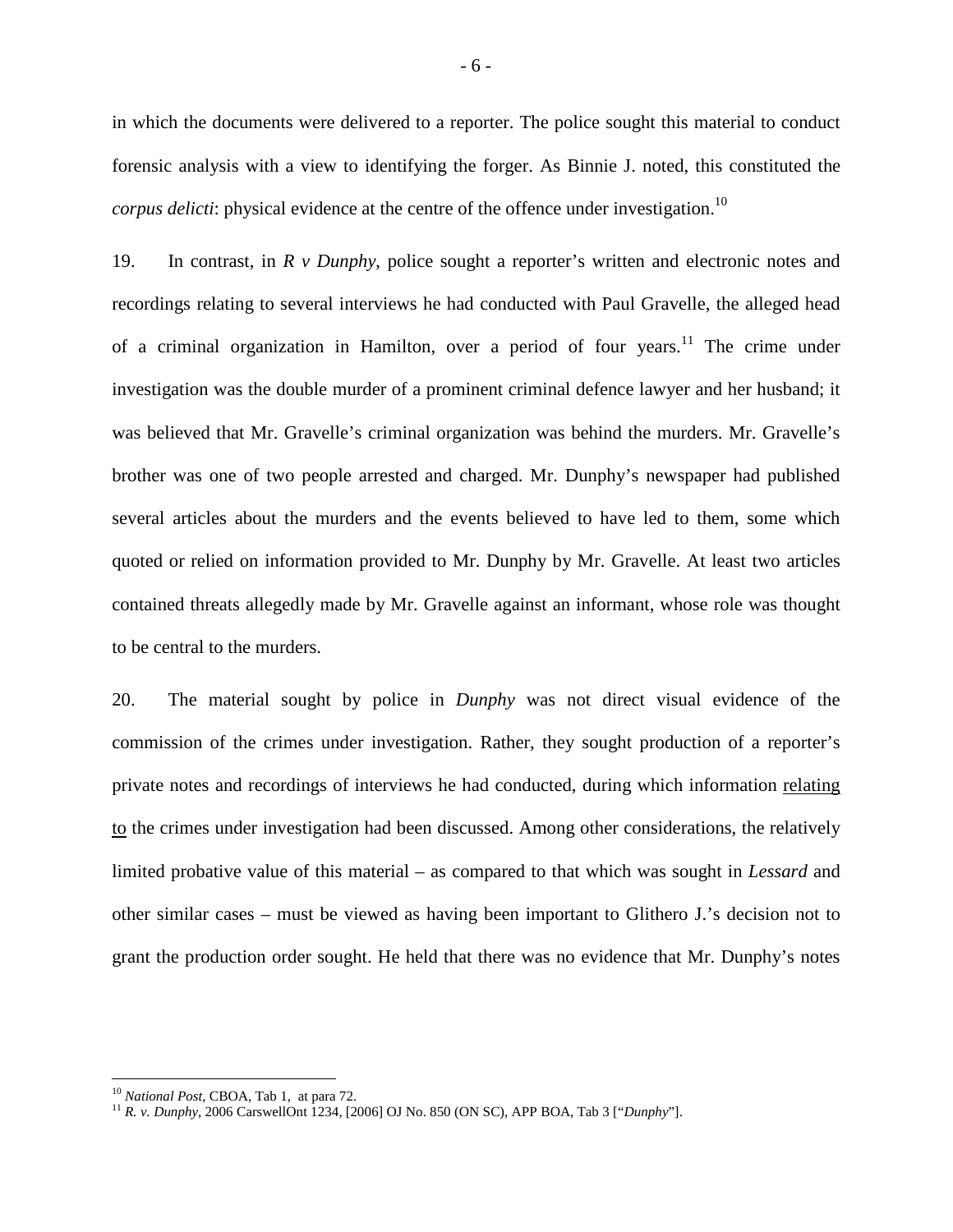in which the documents were delivered to a reporter. The police sought this material to conduct forensic analysis with a view to identifying the forger. As Binnie J. noted, this constituted the *corpus delicti*: physical evidence at the centre of the offence under investigation.<sup>[10](#page-9-0)</sup>

19. In contrast, in *R v Dunphy*, police sought a reporter's written and electronic notes and recordings relating to several interviews he had conducted with Paul Gravelle, the alleged head of a criminal organization in Hamilton, over a period of four years.<sup>[11](#page-9-1)</sup> The crime under investigation was the double murder of a prominent criminal defence lawyer and her husband; it was believed that Mr. Gravelle's criminal organization was behind the murders. Mr. Gravelle's brother was one of two people arrested and charged. Mr. Dunphy's newspaper had published several articles about the murders and the events believed to have led to them, some which quoted or relied on information provided to Mr. Dunphy by Mr. Gravelle. At least two articles contained threats allegedly made by Mr. Gravelle against an informant, whose role was thought to be central to the murders.

20. The material sought by police in *Dunphy* was not direct visual evidence of the commission of the crimes under investigation. Rather, they sought production of a reporter's private notes and recordings of interviews he had conducted, during which information relating to the crimes under investigation had been discussed. Among other considerations, the relatively limited probative value of this material – as compared to that which was sought in *Lessard* and other similar cases – must be viewed as having been important to Glithero J.'s decision not to grant the production order sought. He held that there was no evidence that Mr. Dunphy's notes

<span id="page-9-0"></span><sup>10</sup> *National Post*, CBOA, Tab 1, at para 72.

<span id="page-9-1"></span><sup>11</sup> *R. v. Dunphy*, 2006 CarswellOnt 1234, [2006] OJ No. 850 (ON SC), APP BOA, Tab 3 ["*Dunphy*"].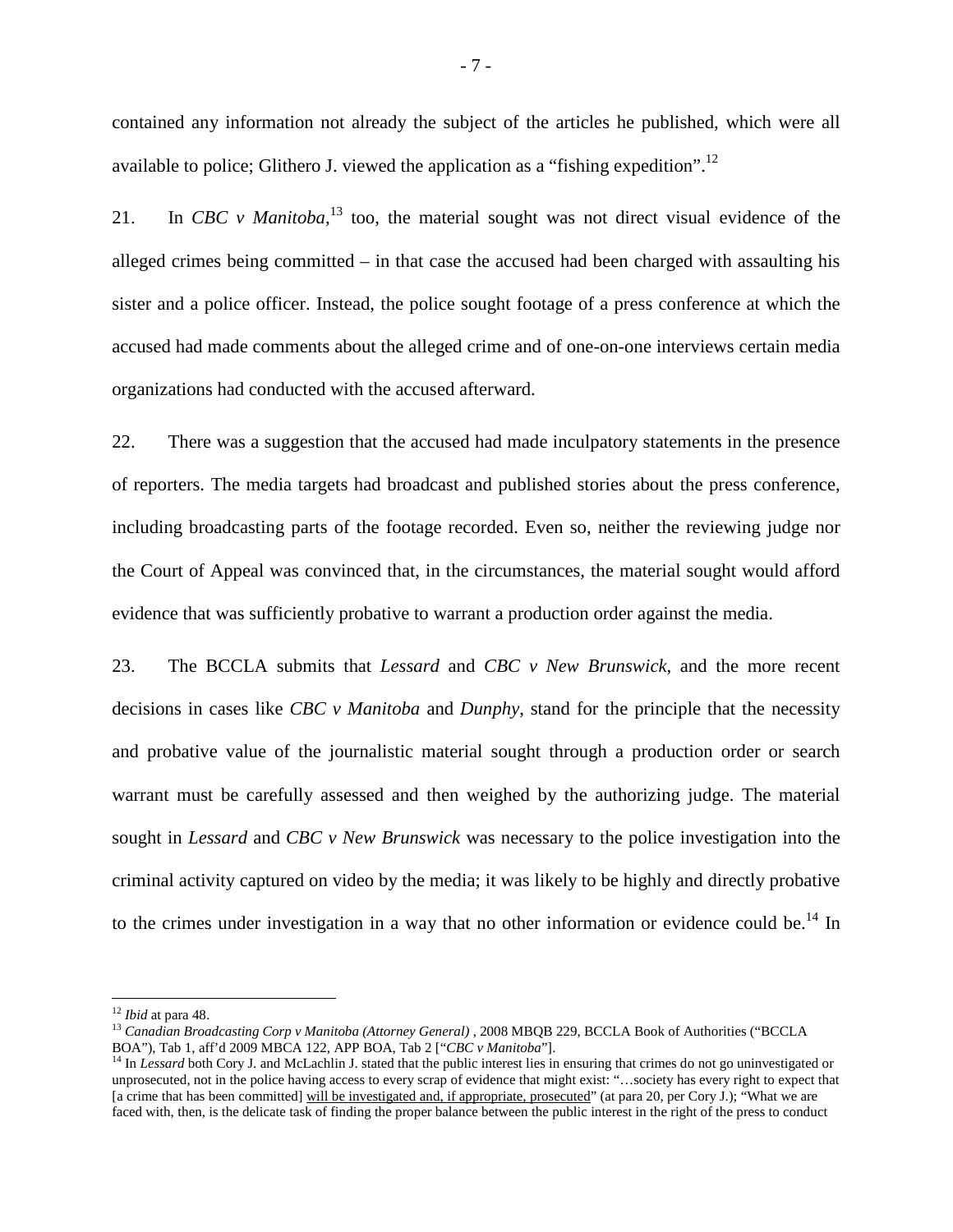contained any information not already the subject of the articles he published, which were all available to police; Glithero J. viewed the application as a "fishing expedition".[12](#page-10-0)

21. In *CBC v Manitoba*<sup>[13](#page-10-1)</sup> too, the material sought was not direct visual evidence of the alleged crimes being committed  $-$  in that case the accused had been charged with assaulting his sister and a police officer. Instead, the police sought footage of a press conference at which the accused had made comments about the alleged crime and of one-on-one interviews certain media organizations had conducted with the accused afterward.

22. There was a suggestion that the accused had made inculpatory statements in the presence of reporters. The media targets had broadcast and published stories about the press conference, including broadcasting parts of the footage recorded. Even so, neither the reviewing judge nor the Court of Appeal was convinced that, in the circumstances, the material sought would afford evidence that was sufficiently probative to warrant a production order against the media.

23. The BCCLA submits that *Lessard* and *CBC v New Brunswick*, and the more recent decisions in cases like *CBC v Manitoba* and *Dunphy*, stand for the principle that the necessity and probative value of the journalistic material sought through a production order or search warrant must be carefully assessed and then weighed by the authorizing judge. The material sought in *Lessard* and *CBC v New Brunswick* was necessary to the police investigation into the criminal activity captured on video by the media; it was likely to be highly and directly probative to the crimes under investigation in a way that no other information or evidence could be.<sup>[14](#page-10-2)</sup> In

<span id="page-10-1"></span><span id="page-10-0"></span><sup>12</sup> *Ibid* at para 48.

<sup>&</sup>lt;sup>13</sup> Canadian Broadcasting Corp v Manitoba (Attorney General), 2008 MBQB 229, BCCLA Book of Authorities ("BCCLA BOA"), Tab 1, aff'd 2009 MBCA 122, APP BOA, Tab 2 ["*CBC v Manitoba*"].

<span id="page-10-2"></span><sup>&</sup>lt;sup>14</sup> In *Lessard* both Cory J. and McLachlin J. stated that the public interest lies in ensuring that crimes do not go uninvestigated or unprosecuted, not in the police having access to every scrap of evidence that might exist: "…society has every right to expect that [a crime that has been committed] will be investigated and, if appropriate, prosecuted" (at para 20, per Cory J.); "What we are faced with, then, is the delicate task of finding the proper balance between the public interest in the right of the press to conduct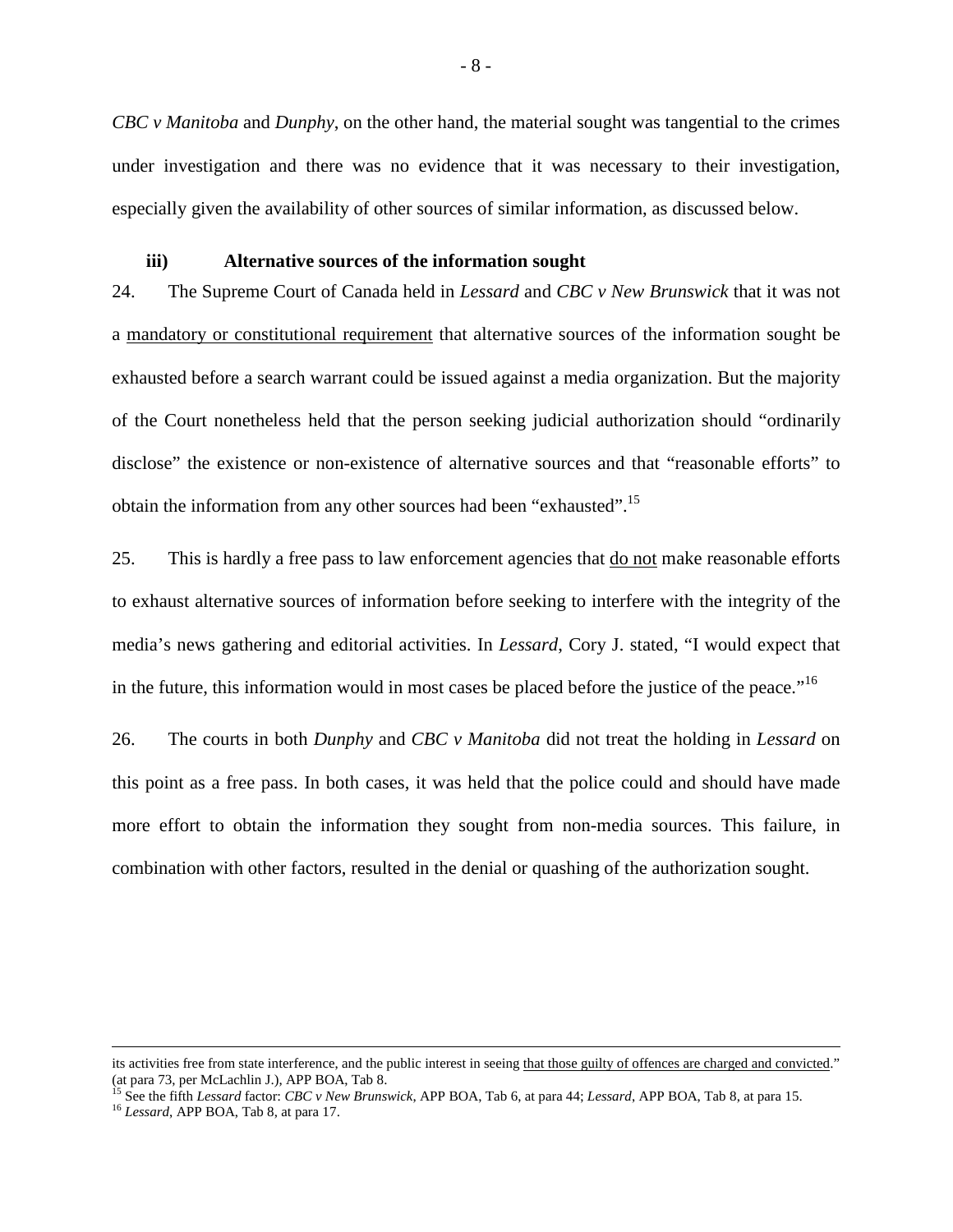*CBC v Manitoba* and *Dunphy*, on the other hand, the material sought was tangential to the crimes under investigation and there was no evidence that it was necessary to their investigation, especially given the availability of other sources of similar information, as discussed below.

#### <span id="page-11-0"></span>**iii) Alternative sources of the information sought**

24. The Supreme Court of Canada held in *Lessard* and *CBC v New Brunswick* that it was not a mandatory or constitutional requirement that alternative sources of the information sought be exhausted before a search warrant could be issued against a media organization. But the majority of the Court nonetheless held that the person seeking judicial authorization should "ordinarily disclose" the existence or non-existence of alternative sources and that "reasonable efforts" to obtain the information from any other sources had been "exhausted".[15](#page-11-1)

25. This is hardly a free pass to law enforcement agencies that do not make reasonable efforts to exhaust alternative sources of information before seeking to interfere with the integrity of the media's news gathering and editorial activities. In *Lessard*, Cory J. stated, "I would expect that in the future, this information would in most cases be placed before the justice of the peace."<sup>[16](#page-11-2)</sup>

26. The courts in both *Dunphy* and *CBC v Manitoba* did not treat the holding in *Lessard* on this point as a free pass. In both cases, it was held that the police could and should have made more effort to obtain the information they sought from non-media sources. This failure, in combination with other factors, resulted in the denial or quashing of the authorization sought.

<span id="page-11-2"></span><span id="page-11-1"></span><sup>15</sup> See the fifth *Lessard* factor: *CBC v New Brunswick*, APP BOA, Tab 6, at para 44; *Lessard*, APP BOA, Tab 8, at para 15.

its activities free from state interference, and the public interest in seeing that those guilty of offences are charged and convicted." (at para 73, per McLachlin J.), APP BOA, Tab 8.

<sup>16</sup> *Lessard*, APP BOA, Tab 8, at para 17.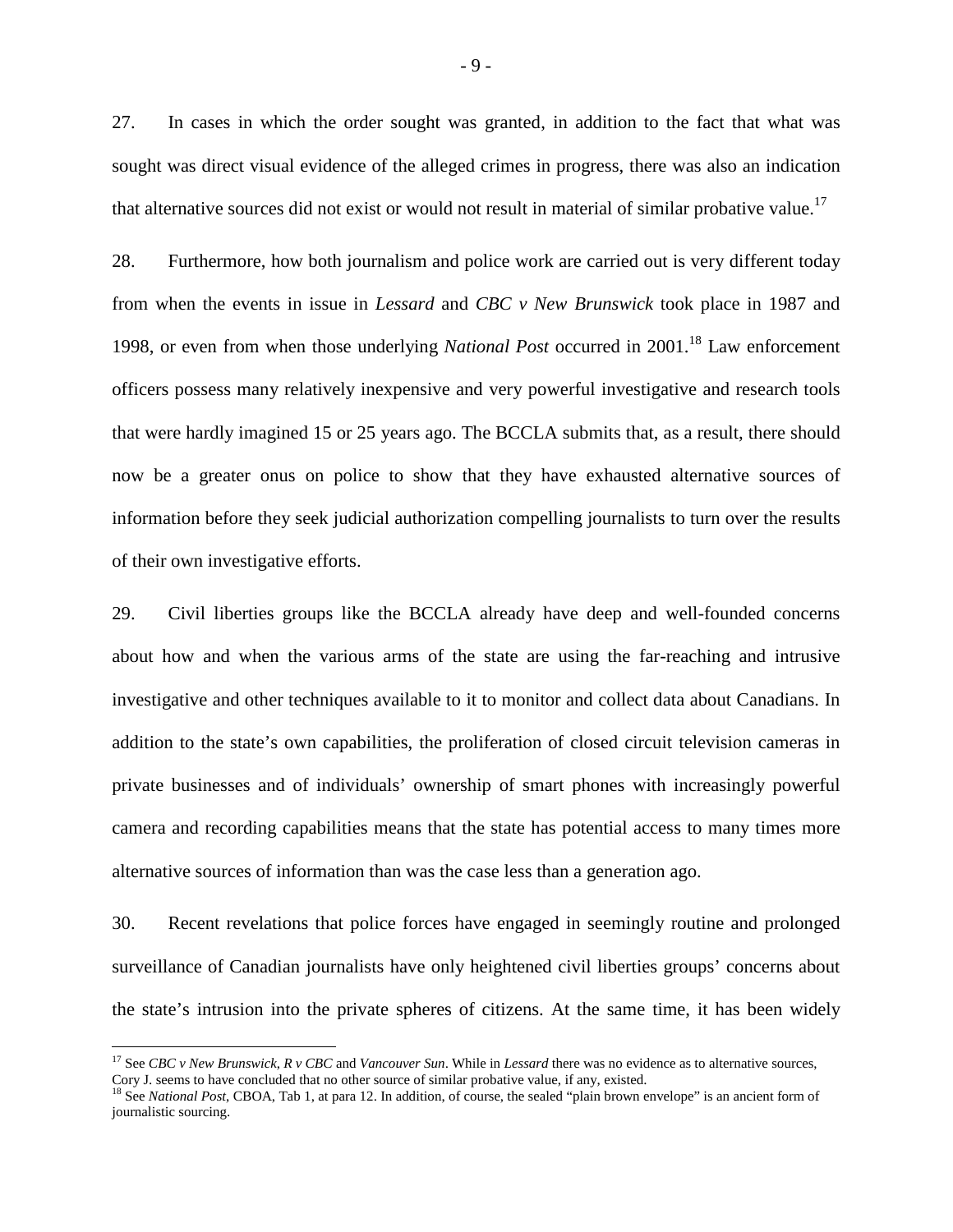27. In cases in which the order sought was granted, in addition to the fact that what was sought was direct visual evidence of the alleged crimes in progress, there was also an indication that alternative sources did not exist or would not result in material of similar probative value.<sup>[17](#page-12-0)</sup>

28. Furthermore, how both journalism and police work are carried out is very different today from when the events in issue in *Lessard* and *CBC v New Brunswick* took place in 1987 and 1998, or even from when those underlying *National Post* occurred in 2001.<sup>[18](#page-12-1)</sup> Law enforcement officers possess many relatively inexpensive and very powerful investigative and research tools that were hardly imagined 15 or 25 years ago. The BCCLA submits that, as a result, there should now be a greater onus on police to show that they have exhausted alternative sources of information before they seek judicial authorization compelling journalists to turn over the results of their own investigative efforts.

29. Civil liberties groups like the BCCLA already have deep and well-founded concerns about how and when the various arms of the state are using the far-reaching and intrusive investigative and other techniques available to it to monitor and collect data about Canadians. In addition to the state's own capabilities, the proliferation of closed circuit television cameras in private businesses and of individuals' ownership of smart phones with increasingly powerful camera and recording capabilities means that the state has potential access to many times more alternative sources of information than was the case less than a generation ago.

30. Recent revelations that police forces have engaged in seemingly routine and prolonged surveillance of Canadian journalists have only heightened civil liberties groups' concerns about the state's intrusion into the private spheres of citizens. At the same time, it has been widely

<span id="page-12-0"></span><sup>17</sup> See *CBC v New Brunswick*, *R v CBC* and *Vancouver Sun*. While in *Lessard* there was no evidence as to alternative sources, Cory J. seems to have concluded that no other source of similar probative value, if any, existed.

<span id="page-12-1"></span><sup>&</sup>lt;sup>18</sup> See *National Post*, CBOA, Tab 1, at para 12. In addition, of course, the sealed "plain brown envelope" is an ancient form of journalistic sourcing.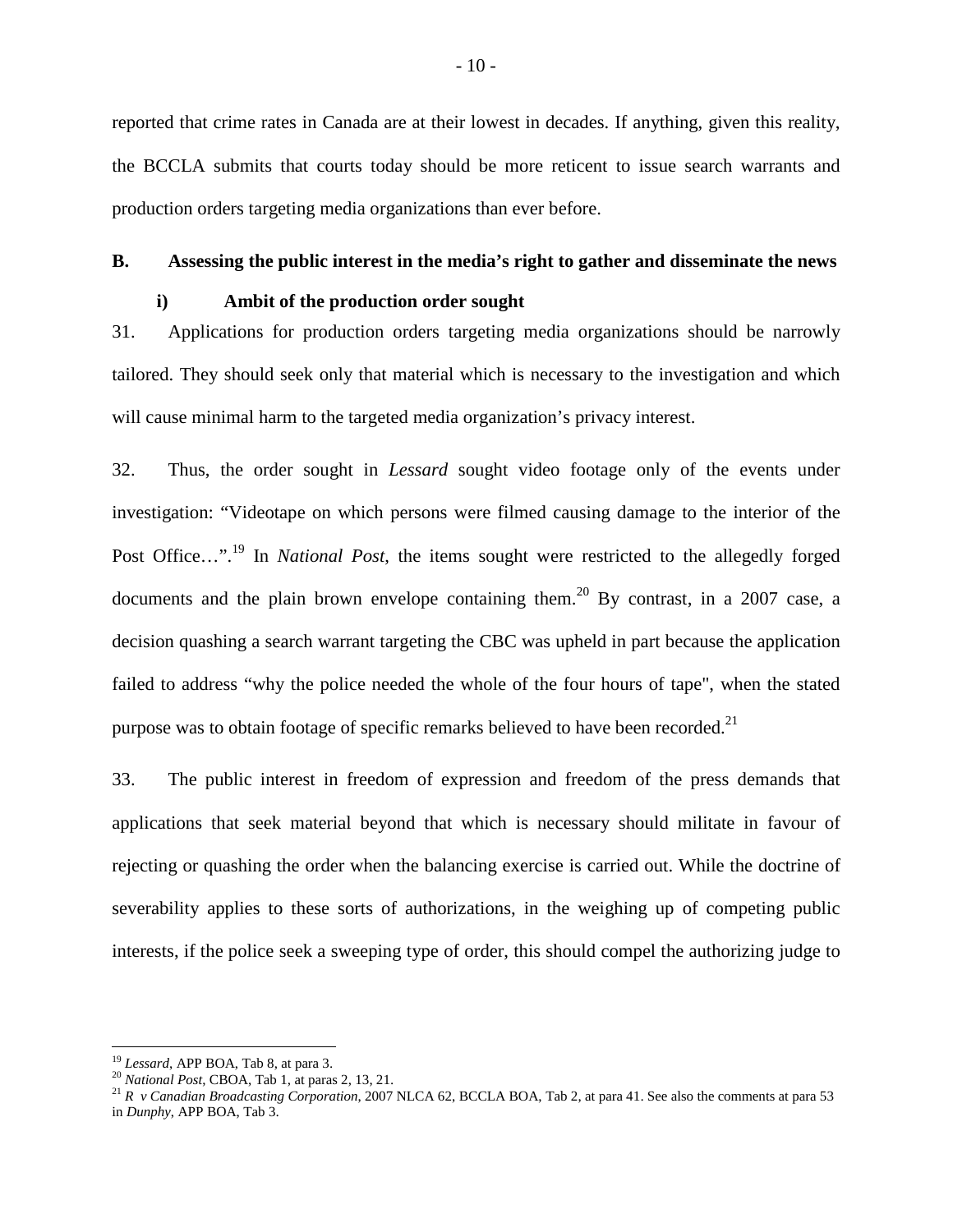reported that crime rates in Canada are at their lowest in decades. If anything, given this reality, the BCCLA submits that courts today should be more reticent to issue search warrants and production orders targeting media organizations than ever before.

#### **B. Assessing the public interest in the media's right to gather and disseminate the news**

#### <span id="page-13-1"></span><span id="page-13-0"></span>**i) Ambit of the production order sought**

31. Applications for production orders targeting media organizations should be narrowly tailored. They should seek only that material which is necessary to the investigation and which will cause minimal harm to the targeted media organization's privacy interest.

32. Thus, the order sought in *Lessard* sought video footage only of the events under investigation: "Videotape on which persons were filmed causing damage to the interior of the Post Office...".<sup>[19](#page-13-2)</sup> In *National Post*, the items sought were restricted to the allegedly forged documents and the plain brown envelope containing them.<sup>[20](#page-13-3)</sup> By contrast, in a 2007 case, a decision quashing a search warrant targeting the CBC was upheld in part because the application failed to address "why the police needed the whole of the four hours of tape", when the stated purpose was to obtain footage of specific remarks believed to have been recorded.<sup>[21](#page-13-4)</sup>

33. The public interest in freedom of expression and freedom of the press demands that applications that seek material beyond that which is necessary should militate in favour of rejecting or quashing the order when the balancing exercise is carried out. While the doctrine of severability applies to these sorts of authorizations, in the weighing up of competing public interests, if the police seek a sweeping type of order, this should compel the authorizing judge to

<span id="page-13-3"></span><span id="page-13-2"></span><sup>19</sup> *Lessard*, APP BOA, Tab 8, at para 3.

<sup>20</sup> *National Post*, CBOA, Tab 1, at paras 2, 13, 21.

<span id="page-13-4"></span><sup>21</sup> *R v Canadian Broadcasting Corporation*, 2007 NLCA 62, BCCLA BOA, Tab 2, at para 41. See also the comments at para 53 in *Dunphy*, APP BOA, Tab 3.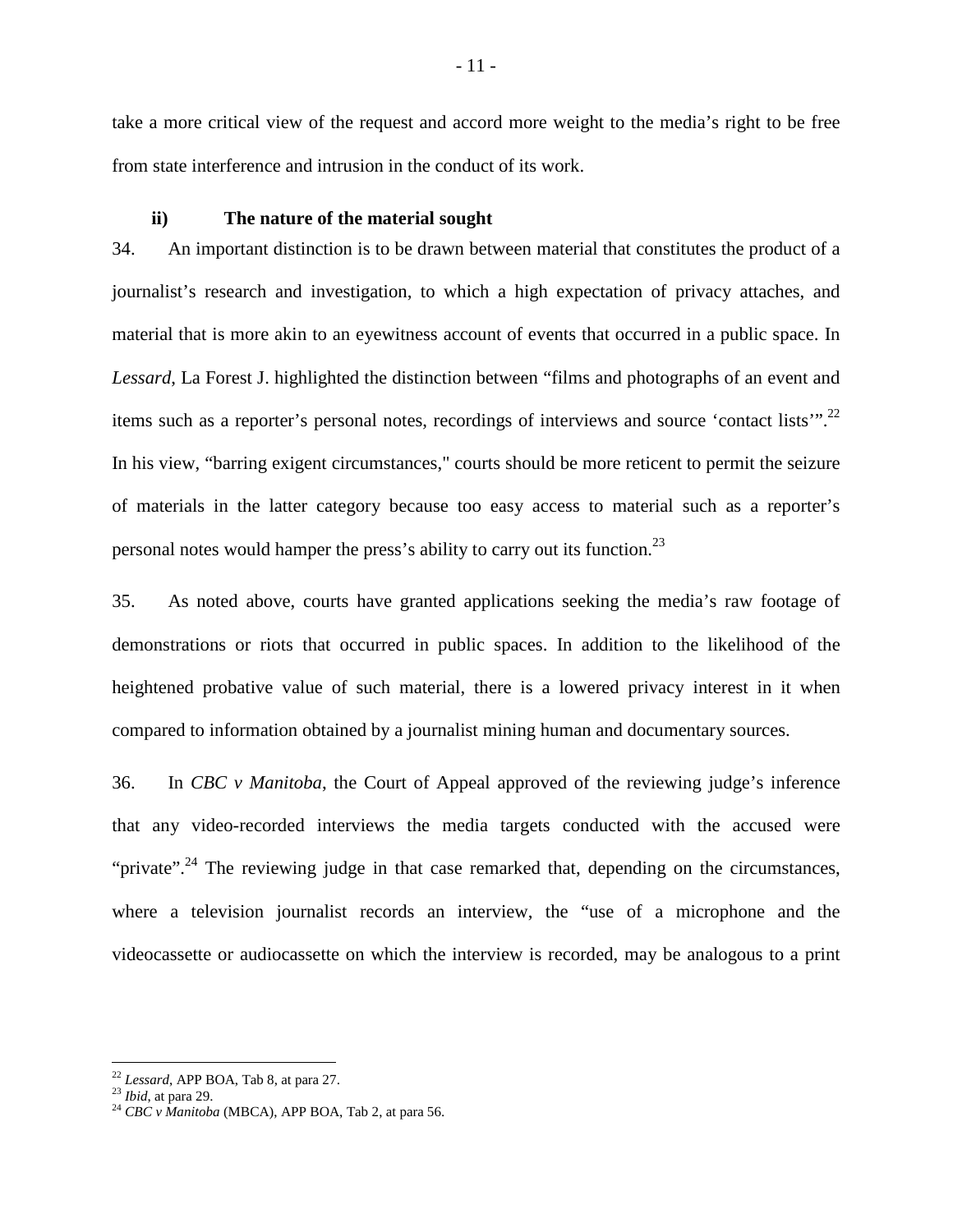take a more critical view of the request and accord more weight to the media's right to be free from state interference and intrusion in the conduct of its work.

#### <span id="page-14-0"></span>**ii) The nature of the material sought**

34. An important distinction is to be drawn between material that constitutes the product of a journalist's research and investigation, to which a high expectation of privacy attaches, and material that is more akin to an eyewitness account of events that occurred in a public space. In *Lessard*, La Forest J. highlighted the distinction between "films and photographs of an event and items such as a reporter's personal notes, recordings of interviews and source 'contact lists'".[22](#page-14-1) In his view, "barring exigent circumstances," courts should be more reticent to permit the seizure of materials in the latter category because too easy access to material such as a reporter's personal notes would hamper the press's ability to carry out its function.[23](#page-14-2)

35. As noted above, courts have granted applications seeking the media's raw footage of demonstrations or riots that occurred in public spaces. In addition to the likelihood of the heightened probative value of such material, there is a lowered privacy interest in it when compared to information obtained by a journalist mining human and documentary sources.

36. In *CBC v Manitoba*, the Court of Appeal approved of the reviewing judge's inference that any video-recorded interviews the media targets conducted with the accused were "private".<sup>[24](#page-14-3)</sup> The reviewing judge in that case remarked that, depending on the circumstances, where a television journalist records an interview, the "use of a microphone and the videocassette or audiocassette on which the interview is recorded, may be analogous to a print

<span id="page-14-2"></span><span id="page-14-1"></span><sup>22</sup> *Lessard*, APP BOA, Tab 8, at para 27.

<sup>23</sup> *Ibid*, at para 29.

<span id="page-14-3"></span><sup>24</sup> *CBC v Manitoba* (MBCA), APP BOA, Tab 2, at para 56.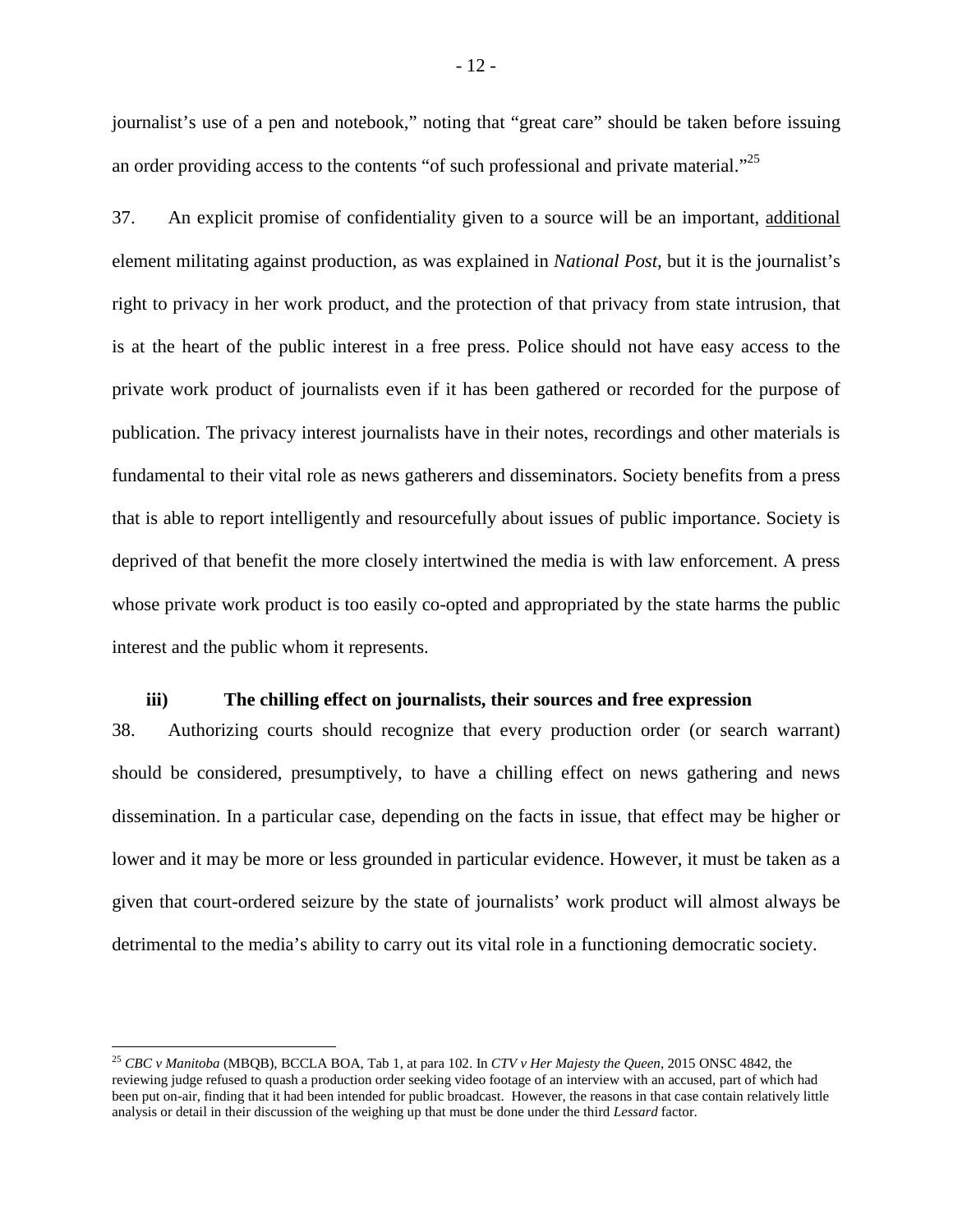journalist's use of a pen and notebook," noting that "great care" should be taken before issuing an order providing access to the contents "of such professional and private material."<sup>[25](#page-15-1)</sup>

37. An explicit promise of confidentiality given to a source will be an important, additional element militating against production, as was explained in *National Post*, but it is the journalist's right to privacy in her work product, and the protection of that privacy from state intrusion, that is at the heart of the public interest in a free press. Police should not have easy access to the private work product of journalists even if it has been gathered or recorded for the purpose of publication. The privacy interest journalists have in their notes, recordings and other materials is fundamental to their vital role as news gatherers and disseminators. Society benefits from a press that is able to report intelligently and resourcefully about issues of public importance. Society is deprived of that benefit the more closely intertwined the media is with law enforcement. A press whose private work product is too easily co-opted and appropriated by the state harms the public interest and the public whom it represents.

#### <span id="page-15-0"></span>**iii) The chilling effect on journalists, their sources and free expression**

38. Authorizing courts should recognize that every production order (or search warrant) should be considered, presumptively, to have a chilling effect on news gathering and news dissemination. In a particular case, depending on the facts in issue, that effect may be higher or lower and it may be more or less grounded in particular evidence. However, it must be taken as a given that court-ordered seizure by the state of journalists' work product will almost always be detrimental to the media's ability to carry out its vital role in a functioning democratic society.

<span id="page-15-1"></span><sup>25</sup> *CBC v Manitoba* (MBQB), BCCLA BOA, Tab 1, at para 102. In *CTV v Her Majesty the Queen*, 2015 ONSC 4842, the reviewing judge refused to quash a production order seeking video footage of an interview with an accused, part of which had been put on-air, finding that it had been intended for public broadcast. However, the reasons in that case contain relatively little analysis or detail in their discussion of the weighing up that must be done under the third *Lessard* factor.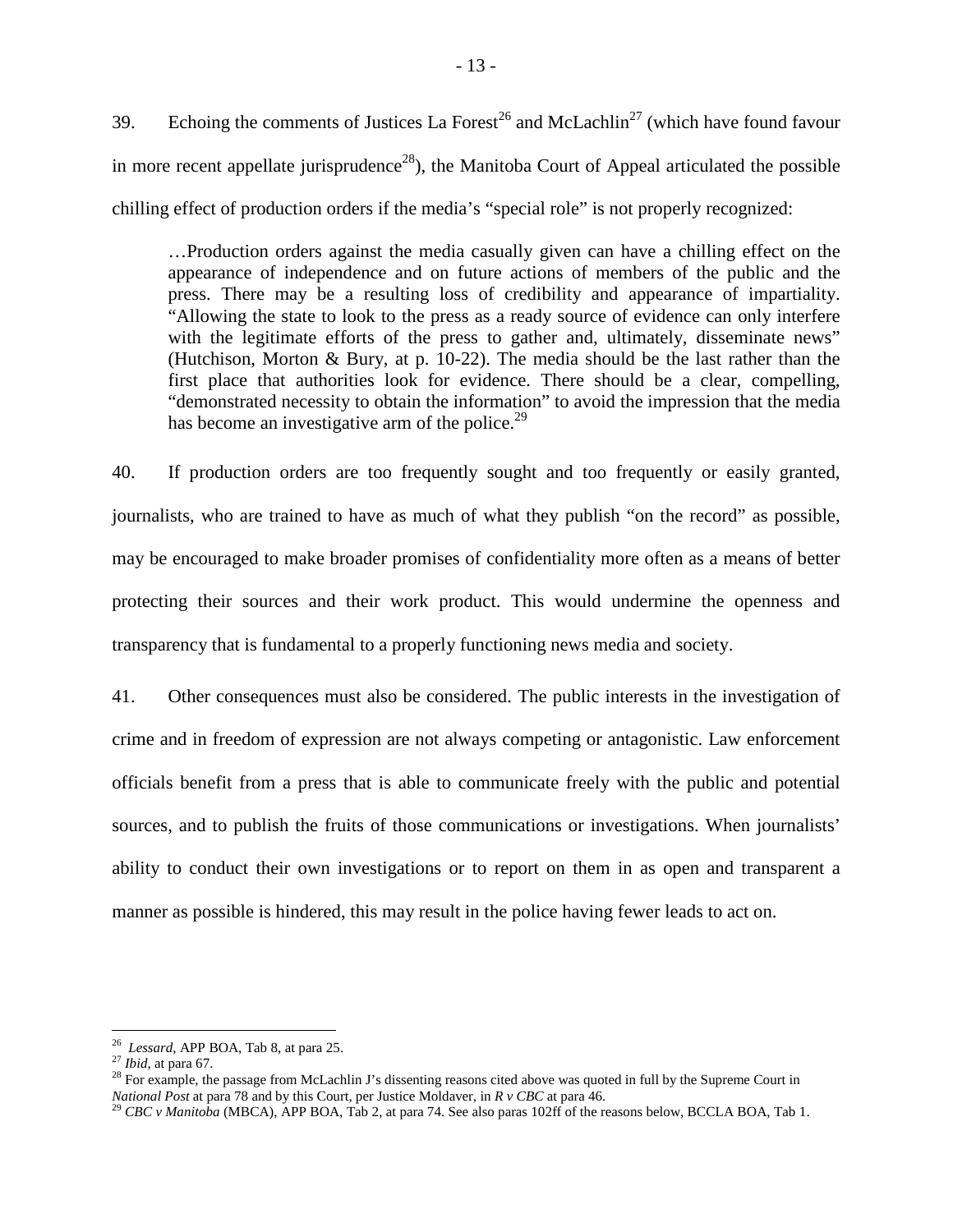39. Echoing the comments of Justices La Forest<sup>[26](#page-16-0)</sup> and McLachlin<sup>[27](#page-16-1)</sup> (which have found favour in more recent appellate jurisprudence<sup>[28](#page-16-2)</sup>), the Manitoba Court of Appeal articulated the possible chilling effect of production orders if the media's "special role" is not properly recognized:

…Production orders against the media casually given can have a chilling effect on the appearance of independence and on future actions of members of the public and the press. There may be a resulting loss of credibility and appearance of impartiality. "Allowing the state to look to the press as a ready source of evidence can only interfere with the legitimate efforts of the press to gather and, ultimately, disseminate news" (Hutchison, Morton & Bury, at p. 10-22). The media should be the last rather than the first place that authorities look for evidence. There should be a clear, compelling, "demonstrated necessity to obtain the information" to avoid the impression that the media has become an investigative arm of the police.<sup>[29](#page-16-3)</sup>

40. If production orders are too frequently sought and too frequently or easily granted, journalists, who are trained to have as much of what they publish "on the record" as possible, may be encouraged to make broader promises of confidentiality more often as a means of better protecting their sources and their work product. This would undermine the openness and transparency that is fundamental to a properly functioning news media and society.

41. Other consequences must also be considered. The public interests in the investigation of crime and in freedom of expression are not always competing or antagonistic. Law enforcement officials benefit from a press that is able to communicate freely with the public and potential sources, and to publish the fruits of those communications or investigations. When journalists' ability to conduct their own investigations or to report on them in as open and transparent a manner as possible is hindered, this may result in the police having fewer leads to act on.

<span id="page-16-0"></span><sup>26</sup> *Lessard*, APP BOA, Tab 8, at para 25.

<span id="page-16-1"></span><sup>27</sup> *Ibid*, at para 67.

<span id="page-16-2"></span><sup>&</sup>lt;sup>28</sup> For example, the passage from McLachlin J's dissenting reasons cited above was quoted in full by the Supreme Court in *National Post* at para 78 and by this Court, per Justice Moldaver, in *R v CBC* at para 46.

<span id="page-16-3"></span><sup>&</sup>lt;sup>29</sup> *CBC v Manitoba* (MBCA), APP BOA, Tab 2, at para 74. See also paras 102ff of the reasons below, BCCLA BOA, Tab 1.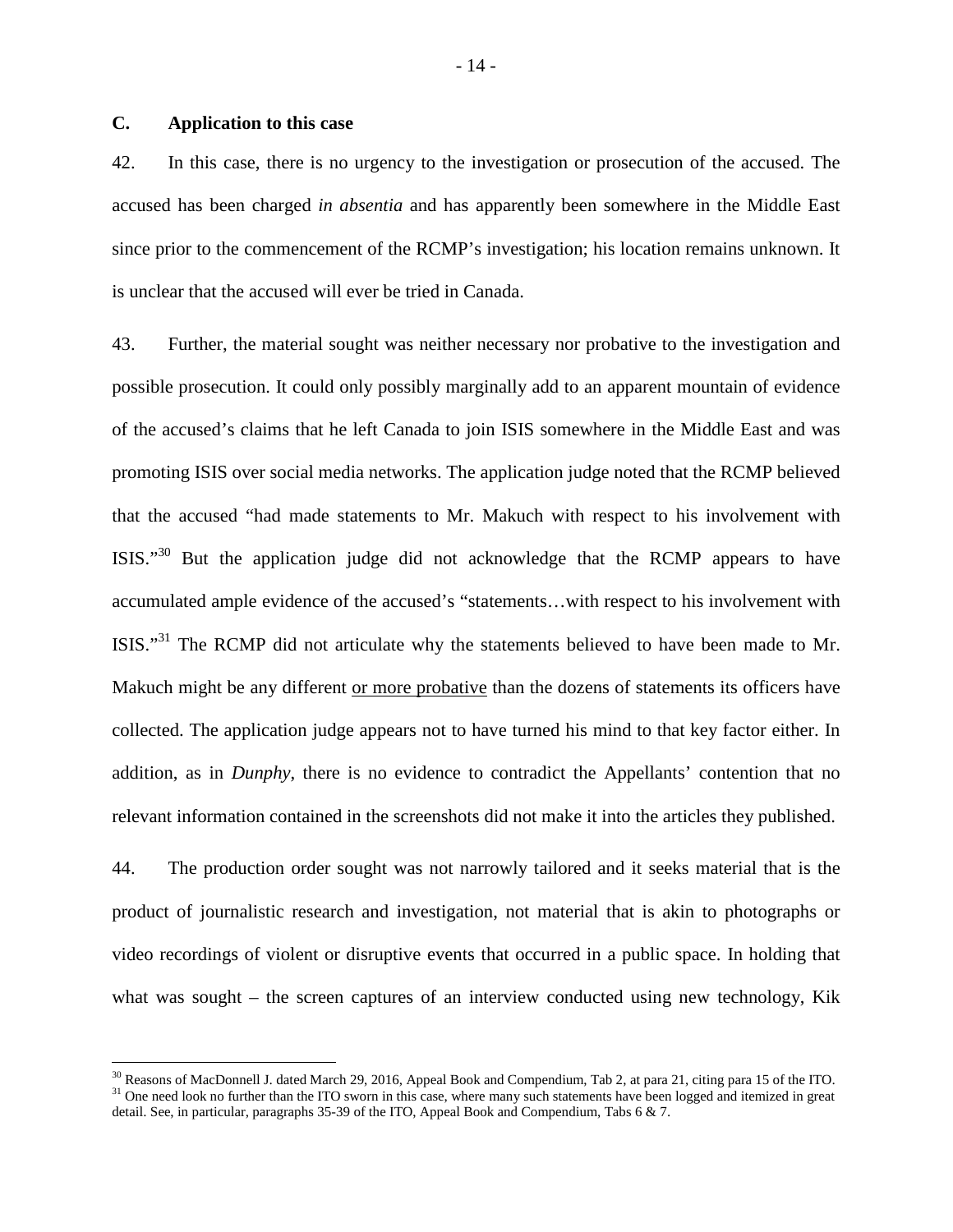## <span id="page-17-0"></span>**C. Application to this case**

42. In this case, there is no urgency to the investigation or prosecution of the accused. The accused has been charged *in absentia* and has apparently been somewhere in the Middle East since prior to the commencement of the RCMP's investigation; his location remains unknown. It is unclear that the accused will ever be tried in Canada.

43. Further, the material sought was neither necessary nor probative to the investigation and possible prosecution. It could only possibly marginally add to an apparent mountain of evidence of the accused's claims that he left Canada to join ISIS somewhere in the Middle East and was promoting ISIS over social media networks. The application judge noted that the RCMP believed that the accused "had made statements to Mr. Makuch with respect to his involvement with ISIS."[30](#page-17-1) But the application judge did not acknowledge that the RCMP appears to have accumulated ample evidence of the accused's "statements…with respect to his involvement with ISIS."[31](#page-17-2) The RCMP did not articulate why the statements believed to have been made to Mr. Makuch might be any different or more probative than the dozens of statements its officers have collected. The application judge appears not to have turned his mind to that key factor either. In addition, as in *Dunphy*, there is no evidence to contradict the Appellants' contention that no relevant information contained in the screenshots did not make it into the articles they published.

44. The production order sought was not narrowly tailored and it seeks material that is the product of journalistic research and investigation, not material that is akin to photographs or video recordings of violent or disruptive events that occurred in a public space. In holding that what was sought – the screen captures of an interview conducted using new technology, Kik

<span id="page-17-2"></span><span id="page-17-1"></span><sup>&</sup>lt;sup>30</sup> Reasons of MacDonnell J. dated March 29, 2016, Appeal Book and Compendium, Tab 2, at para 21, citing para 15 of the ITO. <sup>31</sup> One need look no further than the ITO sworn in this case, where many such statements have been logged and itemized in great detail. See, in particular, paragraphs 35-39 of the ITO, Appeal Book and Compendium, Tabs 6 & 7.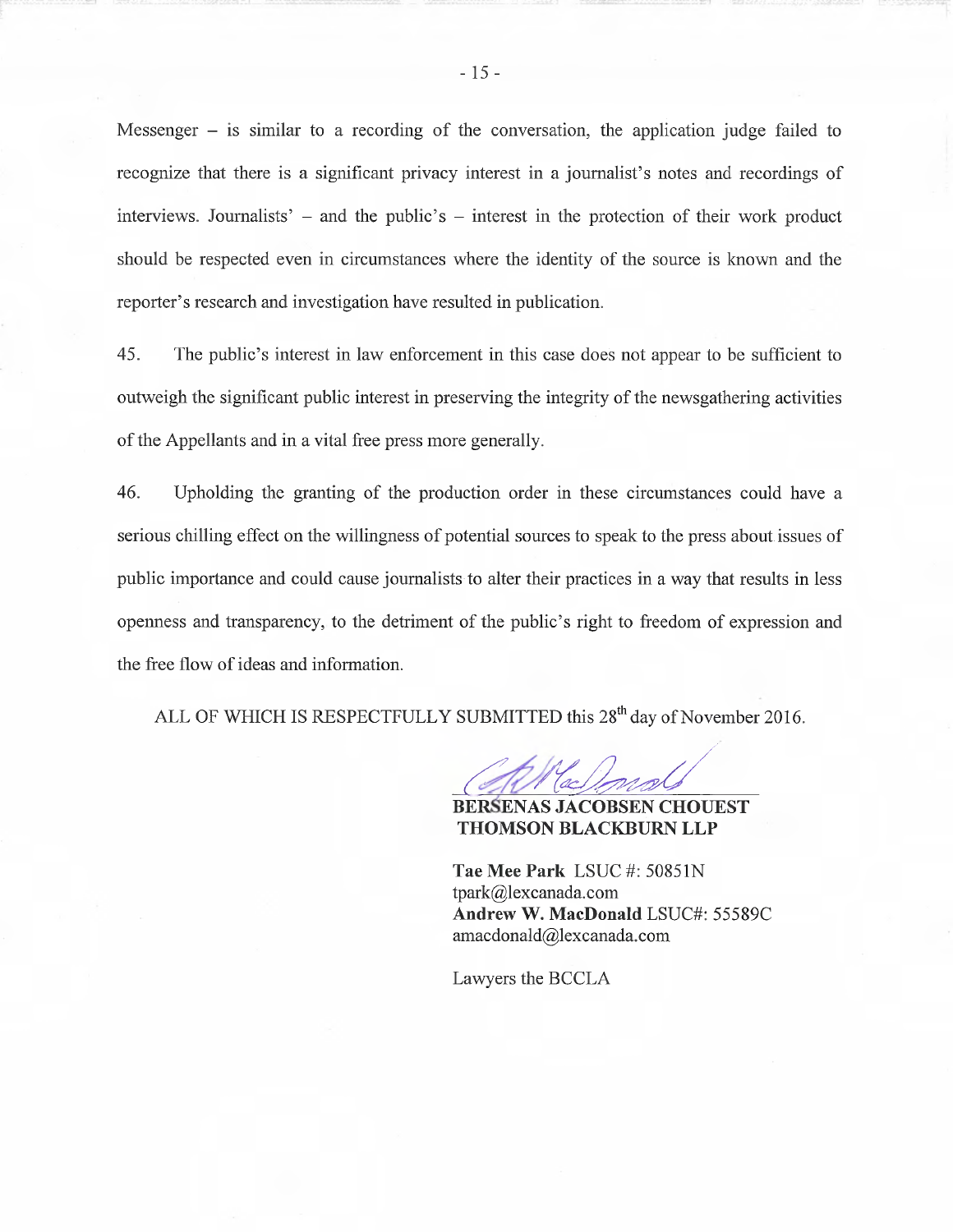Messenger  $-$  is similar to a recording of the conversation, the application judge failed to recognize that there is a significant privacy interest in a journalist's notes and recordings of interviews. Journalists'  $-$  and the public's  $-$  interest in the protection of their work product should be respected even in circumstances where the identity of the source is known and the reporter's research and investigation have resulted in publication.

45. The public's interest in law enforcement in this case does not appear to be sufficient to outweigh the significant public interest in preserving the integrity of the newsgathering activities of the Appellants and in a vital free press more generally.

46. Upholding the granting of the production order in these circumstances could have a serious chilling effect on the willingness of potential sources to speak to the press about issues of public importance and could cause journalists to alter their practices in a way that results in less openness and transparency, to the detriment of the public's right to freedom of expression and the free flow of ideas and information.

ALL OF WHICH IS RESPECTFULLY SUBMITTED this 28<sup>th</sup> day of November 2016.

**BERSENAS JACOBSEN CHOUEST THOMSON BLACKBURN LLP** 

Tae Mee Park LSUC #: 50851N  $tpark@$ lexcanada.com Andrew W. MacDonald LSUC#: 55589C amacdonald@lexcanada.com

Lawyers the BCCLA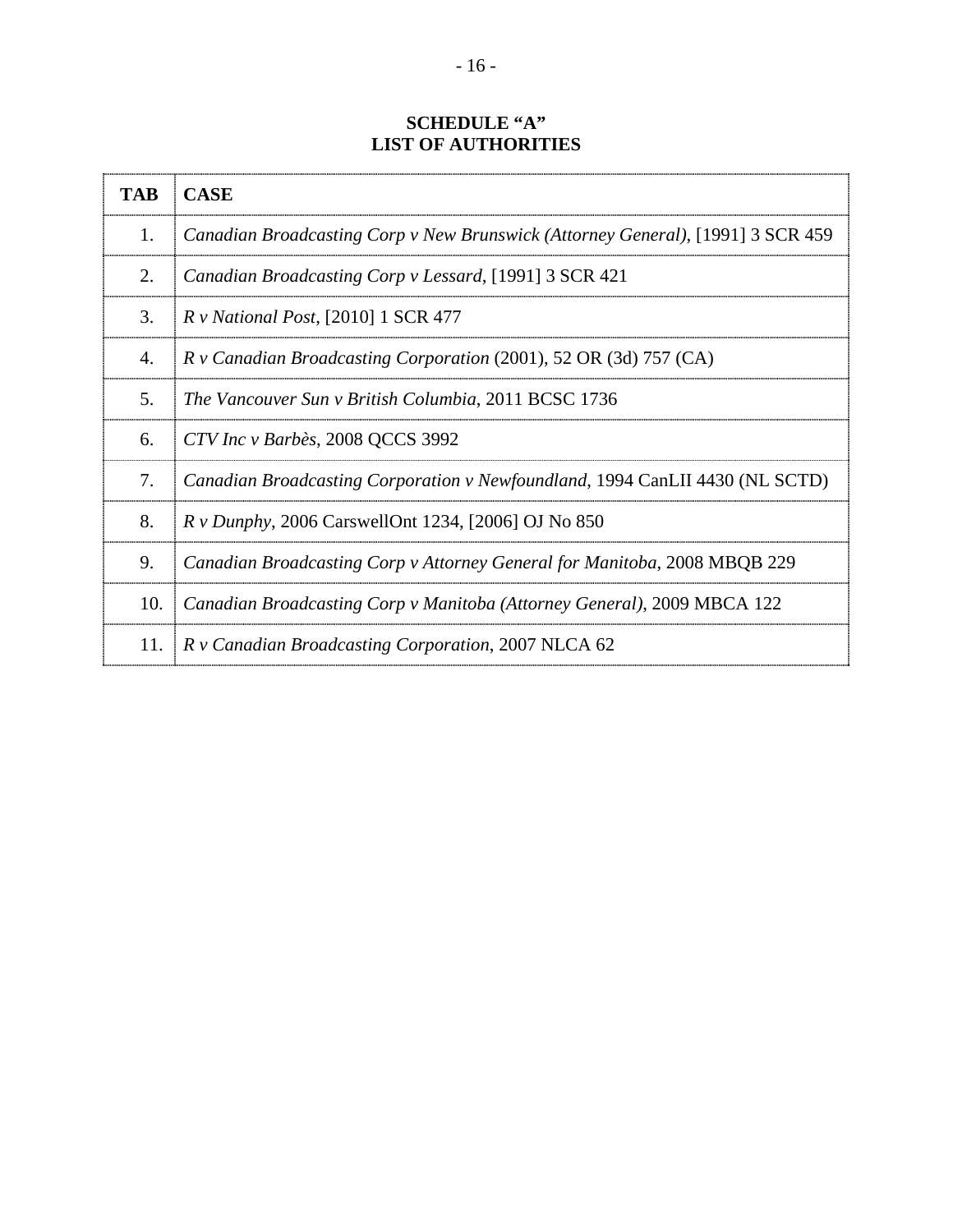## **SCHEDULE "A" LIST OF AUTHORITIES**

| <b>TAB</b> | <b>CASE</b>                                                                     |
|------------|---------------------------------------------------------------------------------|
| 1.         | Canadian Broadcasting Corp v New Brunswick (Attorney General), [1991] 3 SCR 459 |
| 2.         | Canadian Broadcasting Corp v Lessard, [1991] 3 SCR 421                          |
| 3.         | R v National Post, [2010] 1 SCR 477                                             |
| 4.         | $R$ v Canadian Broadcasting Corporation (2001), 52 OR (3d) 757 (CA)             |
| 5.         | The Vancouver Sun v British Columbia, 2011 BCSC 1736                            |
| 6.         | CTV Inc v Barbès, 2008 QCCS 3992                                                |
| 7.         | Canadian Broadcasting Corporation v Newfoundland, 1994 CanLII 4430 (NL SCTD)    |
| 8.         | <i>R v Dunphy</i> , 2006 CarswellOnt 1234, [2006] OJ No 850                     |
| 9.         | Canadian Broadcasting Corp v Attorney General for Manitoba, 2008 MBQB 229       |
| 10.        | Canadian Broadcasting Corp v Manitoba (Attorney General), 2009 MBCA 122         |
| 11.        | R v Canadian Broadcasting Corporation, 2007 NLCA 62                             |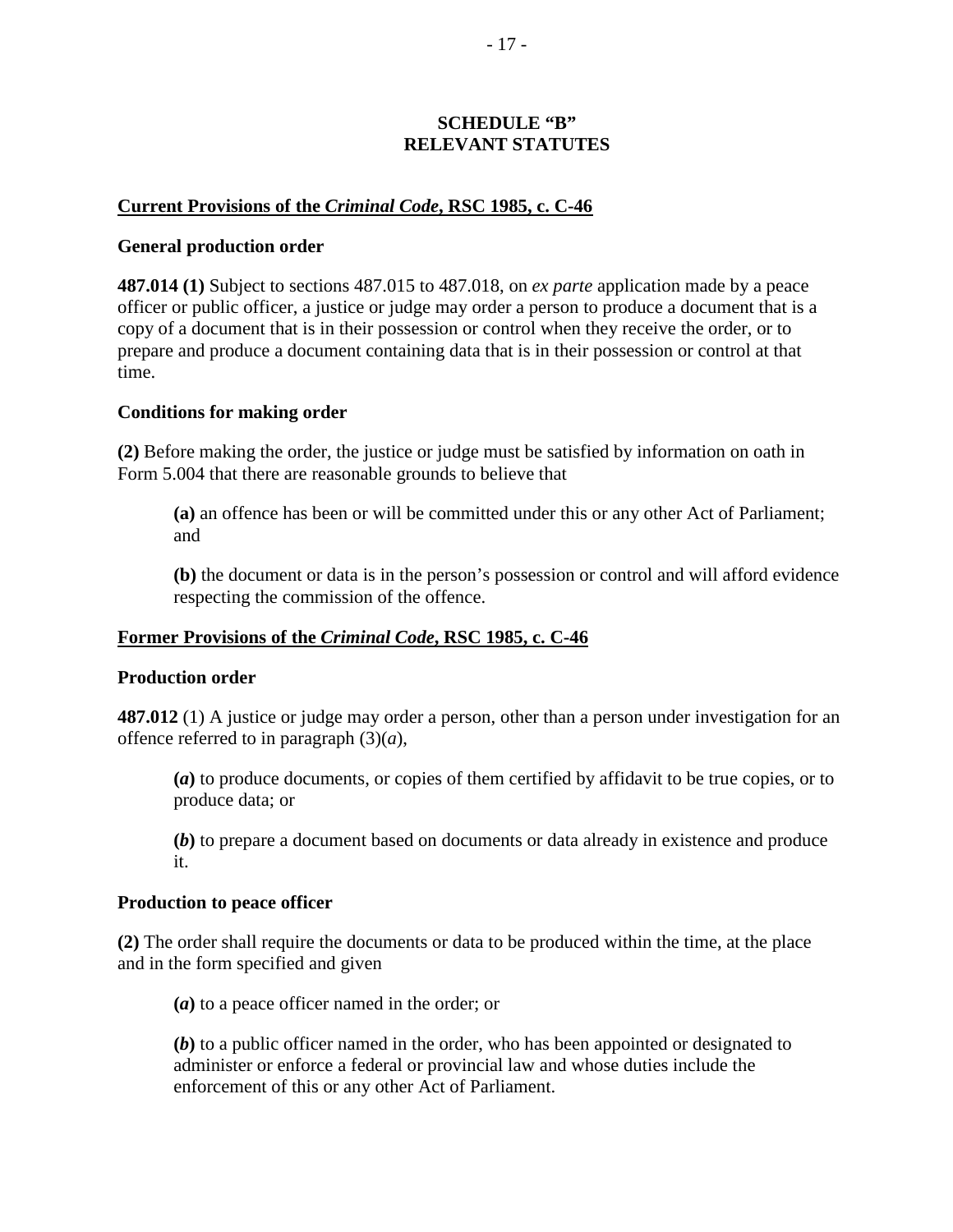## **SCHEDULE "B" RELEVANT STATUTES**

## **Current Provisions of the** *Criminal Code***, RSC 1985, c. C-46**

#### **General production order**

**487.014 (1)** Subject to sections 487.015 to 487.018, on *ex parte* application made by a peace officer or public officer, a justice or judge may order a person to produce a document that is a copy of a document that is in their possession or control when they receive the order, or to prepare and produce a document containing data that is in their possession or control at that time.

#### **Conditions for making order**

**(2)** Before making the order, the justice or judge must be satisfied by information on oath in Form 5.004 that there are reasonable grounds to believe that

**(a)** an offence has been or will be committed under this or any other Act of Parliament; and

**(b)** the document or data is in the person's possession or control and will afford evidence respecting the commission of the offence.

## **Former Provisions of the** *Criminal Code***, RSC 1985, c. C-46**

#### **Production order**

**487.012** (1) A justice or judge may order a person, other than a person under investigation for an offence referred to in paragraph (3)(*a*),

**(***a***)** to produce documents, or copies of them certified by affidavit to be true copies, or to produce data; or

**(***b***)** to prepare a document based on documents or data already in existence and produce it.

#### **Production to peace officer**

**(2)** The order shall require the documents or data to be produced within the time, at the place and in the form specified and given

**(***a***)** to a peace officer named in the order; or

**(***b***)** to a public officer named in the order, who has been appointed or designated to administer or enforce a federal or provincial law and whose duties include the enforcement of this or any other Act of Parliament.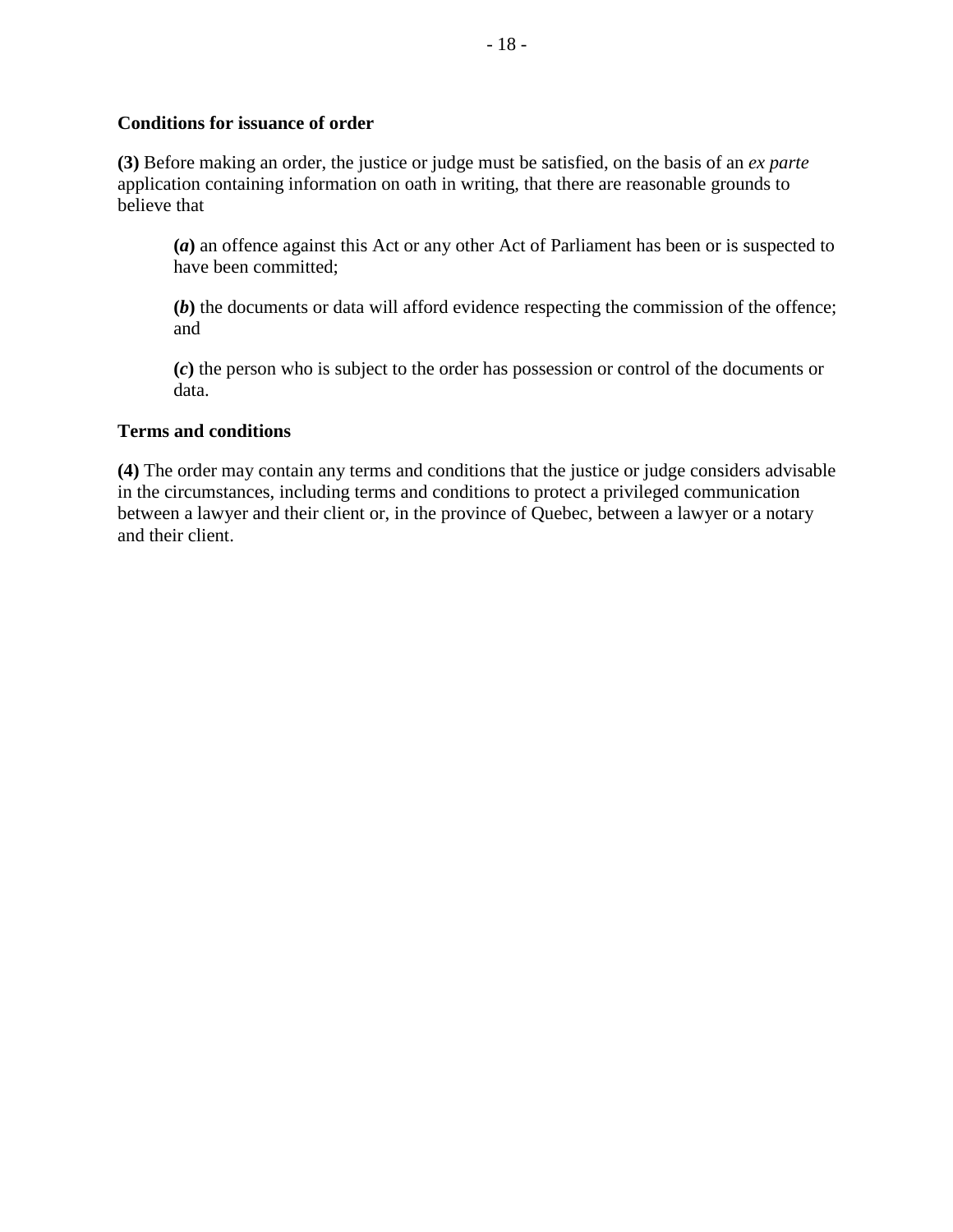## **Conditions for issuance of order**

**(3)** Before making an order, the justice or judge must be satisfied, on the basis of an *ex parte* application containing information on oath in writing, that there are reasonable grounds to believe that

**(***a***)** an offence against this Act or any other Act of Parliament has been or is suspected to have been committed;

**(***b***)** the documents or data will afford evidence respecting the commission of the offence; and

**(***c***)** the person who is subject to the order has possession or control of the documents or data.

## **Terms and conditions**

**(4)** The order may contain any terms and conditions that the justice or judge considers advisable in the circumstances, including terms and conditions to protect a privileged communication between a lawyer and their client or, in the province of Quebec, between a lawyer or a notary and their client.